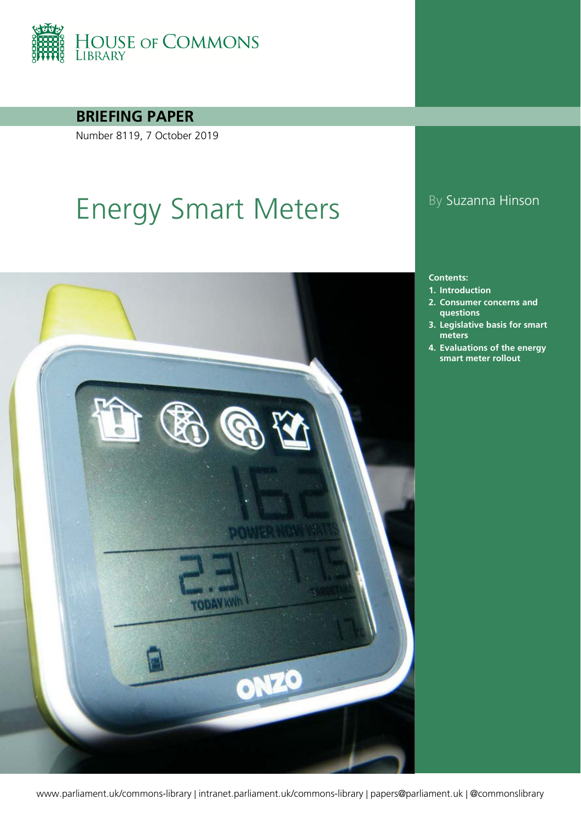

**BRIEFING PAPER**

Number 8119, 7 October 2019

# Energy Smart Meters By Suzanna Hinson



#### **Contents:**

- **1. [Introduction](#page-3-0)**
- **2. [Consumer concerns and](#page-11-0)  [questions](#page-11-0)**
- **3. [Legislative basis for smart](#page-16-0)  [meters](#page-16-0)**
- **4. [Evaluations of the energy](#page-19-0)  [smart meter rollout](#page-19-0)**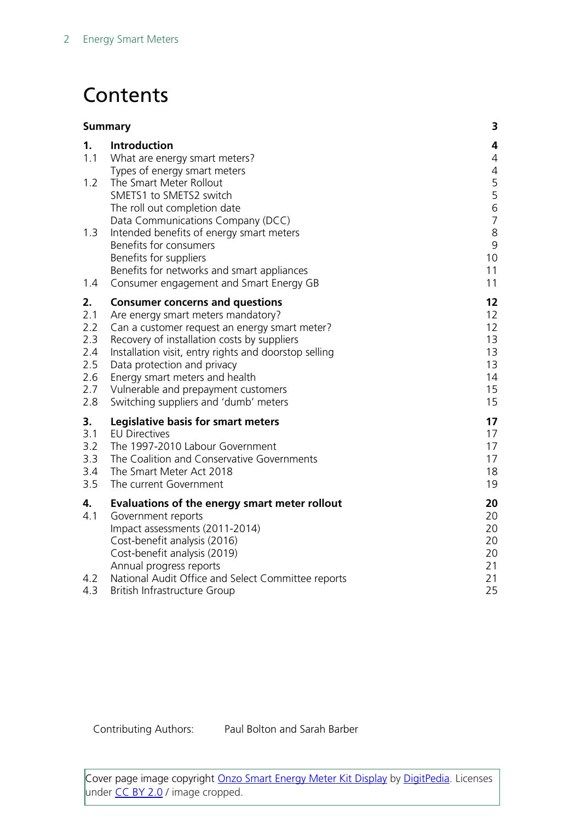## **Contents**

|                                                            | <b>Summary</b>                                                                                                                                                                                                                                                                                                                                                                         | 3                                                                 |
|------------------------------------------------------------|----------------------------------------------------------------------------------------------------------------------------------------------------------------------------------------------------------------------------------------------------------------------------------------------------------------------------------------------------------------------------------------|-------------------------------------------------------------------|
| 1 <sub>1</sub><br>1.1                                      | Introduction<br>What are energy smart meters?<br>Types of energy smart meters                                                                                                                                                                                                                                                                                                          | 4<br>4<br>$\overline{4}$                                          |
| 1.2                                                        | The Smart Meter Rollout<br>SMETS1 to SMETS2 switch<br>The roll out completion date<br>Data Communications Company (DCC)                                                                                                                                                                                                                                                                | 5<br>5<br>$\,$ 6 $\,$<br>$\overline{7}$                           |
| 1.3                                                        | Intended benefits of energy smart meters<br>Benefits for consumers<br>Benefits for suppliers<br>Benefits for networks and smart appliances                                                                                                                                                                                                                                             | $\,8\,$<br>9<br>10<br>11                                          |
| 1.4                                                        | Consumer engagement and Smart Energy GB                                                                                                                                                                                                                                                                                                                                                | 11                                                                |
| 2.<br>2.1<br>2.2<br>2.3<br>2.4<br>2.5<br>2.6<br>2.7<br>2.8 | <b>Consumer concerns and questions</b><br>Are energy smart meters mandatory?<br>Can a customer request an energy smart meter?<br>Recovery of installation costs by suppliers<br>Installation visit, entry rights and doorstop selling<br>Data protection and privacy<br>Energy smart meters and health<br>Vulnerable and prepayment customers<br>Switching suppliers and 'dumb' meters | 12<br>12<br>$12 \overline{ }$<br>13<br>13<br>13<br>14<br>15<br>15 |
| 3.<br>3.1<br>3.2<br>3.3<br>3.4<br>3.5                      | Legislative basis for smart meters<br><b>EU Directives</b><br>The 1997-2010 Labour Government<br>The Coalition and Conservative Governments<br>The Smart Meter Act 2018<br>The current Government                                                                                                                                                                                      | 17<br>17<br>17<br>17<br>18<br>19                                  |
| 4.<br>4.1<br>4.2                                           | Evaluations of the energy smart meter rollout<br>Government reports<br>Impact assessments (2011-2014)<br>Cost-benefit analysis (2016)<br>Cost-benefit analysis (2019)<br>Annual progress reports<br>National Audit Office and Select Committee reports                                                                                                                                 | 20<br>20<br>20<br>20<br>20<br>21<br>21                            |
| 4.3                                                        | British Infrastructure Group                                                                                                                                                                                                                                                                                                                                                           | 25                                                                |

Contributing Authors: Paul Bolton and Sarah Barber

Cover page image copyright **Onzo Smart Energy Meter Kit Display** by [DigitPedia.](https://www.flickr.com/photos/digitpedia/) Licenses under [CC BY 2.0](https://creativecommons.org/licenses/by/2.0/) / image cropped.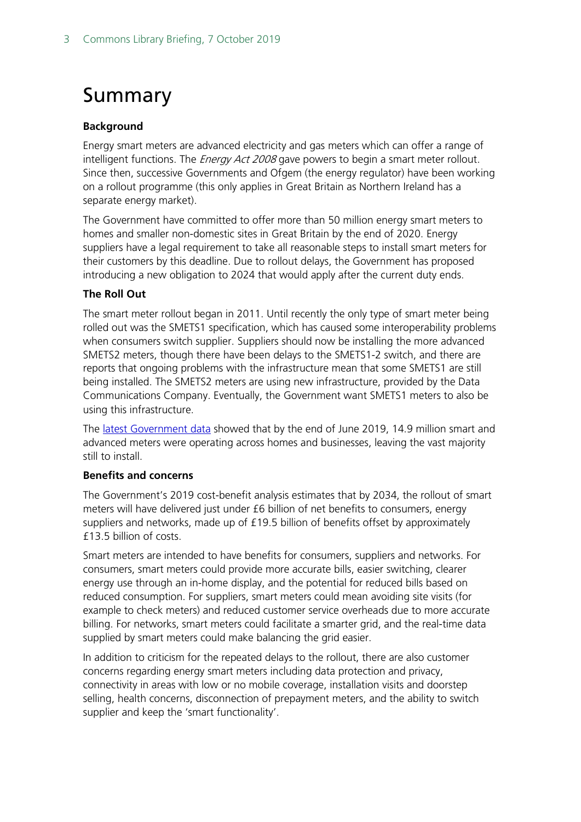## <span id="page-2-0"></span>Summary

#### **Background**

Energy smart meters are advanced electricity and gas meters which can offer a range of intelligent functions. The *Energy Act 2008* gave powers to begin a smart meter rollout. Since then, successive Governments and Ofgem (the energy regulator) have been working on a rollout programme (this only applies in Great Britain as Northern Ireland has a separate energy market).

The Government have committed to offer more than 50 million energy smart meters to homes and smaller non-domestic sites in Great Britain by the end of 2020. Energy suppliers have a legal requirement to take all reasonable steps to install smart meters for their customers by this deadline. Due to rollout delays, the Government has proposed introducing a new obligation to 2024 that would apply after the current duty ends.

#### **The Roll Out**

The smart meter rollout began in 2011. Until recently the only type of smart meter being rolled out was the SMETS1 specification, which has caused some interoperability problems when consumers switch supplier. Suppliers should now be installing the more advanced SMETS2 meters, though there have been delays to the SMETS1-2 switch, and there are reports that ongoing problems with the infrastructure mean that some SMETS1 are still being installed. The SMETS2 meters are using new infrastructure, provided by the Data Communications Company. Eventually, the Government want SMETS1 meters to also be using this infrastructure.

The [latest Government data](https://assets.publishing.service.gov.uk/government/uploads/system/uploads/attachment_data/file/789632/2018_Q4_Smart_Meters_Report_FINAL.pdf) showed that by the end of June 2019, 14.9 million smart and advanced meters were operating across homes and businesses, leaving the vast majority still to install.

#### **Benefits and concerns**

The Government's 2019 cost-benefit analysis estimates that by 2034, the rollout of smart meters will have delivered just under £6 billion of net benefits to consumers, energy suppliers and networks, made up of £19.5 billion of benefits offset by approximately £13.5 billion of costs.

Smart meters are intended to have benefits for consumers, suppliers and networks. For consumers, smart meters could provide more accurate bills, easier switching, clearer energy use through an in-home display, and the potential for reduced bills based on reduced consumption. For suppliers, smart meters could mean avoiding site visits (for example to check meters) and reduced customer service overheads due to more accurate billing. For networks, smart meters could facilitate a smarter grid, and the real-time data supplied by smart meters could make balancing the grid easier.

In addition to criticism for the repeated delays to the rollout, there are also customer concerns regarding energy smart meters including data protection and privacy, connectivity in areas with low or no mobile coverage, installation visits and doorstep selling, health concerns, disconnection of prepayment meters, and the ability to switch supplier and keep the 'smart functionality'.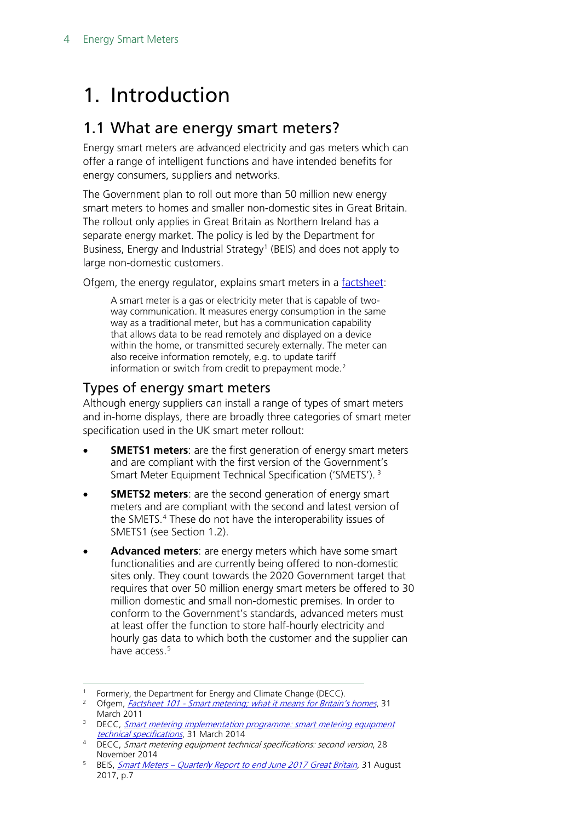## <span id="page-3-0"></span>1. Introduction

### <span id="page-3-1"></span>1.1 What are energy smart meters?

Energy smart meters are advanced electricity and gas meters which can offer a range of intelligent functions and have intended benefits for energy consumers, suppliers and networks.

The Government plan to roll out more than 50 million new energy smart meters to homes and smaller non-domestic sites in Great Britain. The rollout only applies in Great Britain as Northern Ireland has a separate energy market. The policy is led by the Department for Business, Energy and Industrial Strategy<sup>[1](#page-3-3)</sup> (BEIS) and does not apply to large non-domestic customers.

Ofgem, the energy regulator, explains smart meters in a [factsheet:](http://www.ofgem.gov.uk/Media/FactSheets/Documents1/consumersmartmeteringfs.pdf)

A smart meter is a gas or electricity meter that is capable of twoway communication. It measures energy consumption in the same way as a traditional meter, but has a communication capability that allows data to be read remotely and displayed on a device within the home, or transmitted securely externally. The meter can also receive information remotely, e.g. to update tariff information or switch from credit to prepayment mode.<sup>[2](#page-3-4)</sup>

### <span id="page-3-2"></span>Types of energy smart meters

Although energy suppliers can install a range of types of smart meters and in-home displays, there are broadly three categories of smart meter specification used in the UK smart meter rollout:

- **SMETS1 meters**: are the first generation of energy smart meters and are compliant with the first version of the Government's Smart Meter Equipment Technical Specification ('SMETS'). [3](#page-3-5)
- **SMETS2 meters:** are the second generation of energy smart meters and are compliant with the second and latest version of the SMETS.<sup>[4](#page-3-6)</sup> These do not have the interoperability issues of SMETS1 (see Section 1.2).
- **Advanced meters**: are energy meters which have some smart functionalities and are currently being offered to non-domestic sites only. They count towards the 2020 Government target that requires that over 50 million energy smart meters be offered to 30 million domestic and small non-domestic premises. In order to conform to the Government's standards, advanced meters must at least offer the function to store half-hourly electricity and hourly gas data to which both the customer and the supplier can have access<sup>[5](#page-3-7)</sup>

<sup>&</sup>lt;sup>1</sup> Formerly, the Department for Energy and Climate Change (DECC).

<span id="page-3-4"></span><span id="page-3-3"></span><sup>&</sup>lt;sup>2</sup> Ofgem, *Factsheet 101 - [Smart metering; what it means for Britain's homes](http://www.ofgem.gov.uk/Media/FactSheets/Documents1/consumersmartmeteringfs.pdf)*, 31 March 2011

<span id="page-3-5"></span><sup>&</sup>lt;sup>3</sup> DECC, **Smart metering implementation programme: smart metering equipment** [technical specifications](https://www.gov.uk/government/publications/smart-metering-implementation-programme-technical-specifications), 31 March 2014

<span id="page-3-6"></span><sup>4</sup> DECC, Smart metering equipment technical specifications: second version, 28 November 2014

<span id="page-3-7"></span><sup>&</sup>lt;sup>5</sup> BEIS, **Smart Meters – [Quarterly Report to end June 2017 Great Britain](https://www.gov.uk/government/uploads/system/uploads/attachment_data/file/640759/2017_Q2_Smart_Meters_Report.pdf), 31 August** 2017, p.7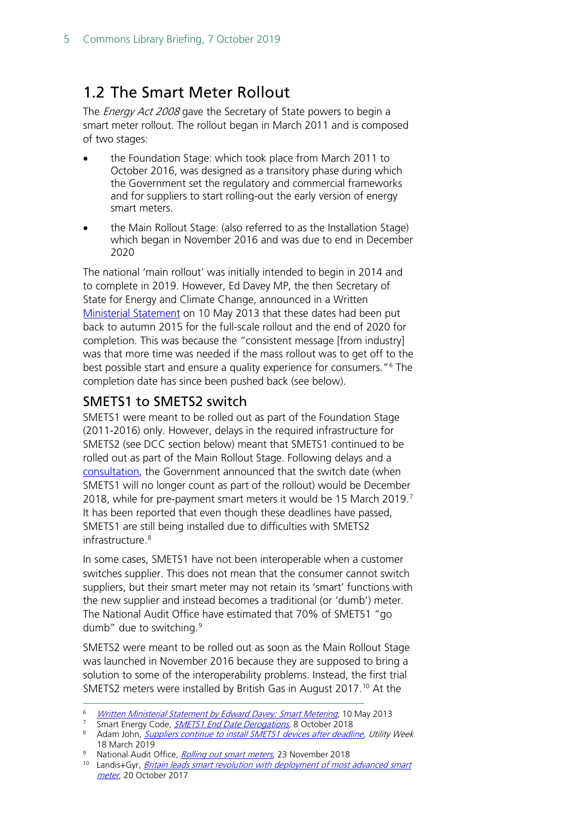### <span id="page-4-0"></span>1.2 The Smart Meter Rollout

The *Energy Act 2008* gave the Secretary of State powers to begin a smart meter rollout. The rollout began in March 2011 and is composed of two stages:

- the Foundation Stage: which took place from March 2011 to October 2016, was designed as a transitory phase during which the Government set the regulatory and commercial frameworks and for suppliers to start rolling-out the early version of energy smart meters.
- the Main Rollout Stage: (also referred to as the Installation Stage) which began in November 2016 and was due to end in December 2020

The national 'main rollout' was initially intended to begin in 2014 and to complete in 2019. However, Ed Davey MP, the then Secretary of State for Energy and Climate Change, announced in a Written [Ministerial Statement](https://www.gov.uk/government/speeches/written-ministerial-statement-by-edward-davey-smart-metering) on 10 May 2013 that these dates had been put back to autumn 2015 for the full-scale rollout and the end of 2020 for completion. This was because the "consistent message [from industry] was that more time was needed if the mass rollout was to get off to the best possible start and ensure a quality experience for consumers."[6](#page-4-2) The completion date has since been pushed back (see below).

### <span id="page-4-1"></span>SMETS1 to SMETS2 switch

SMETS1 were meant to be rolled out as part of the Foundation Stage (2011-2016) only. However, delays in the required infrastructure for SMETS2 (see DCC section below) meant that SMETS1 continued to be rolled out as part of the Main Rollout Stage. Following delays and a [consultation,](https://smartenergycodecompany.co.uk/latest-news/beis-consultation-on-extention-of-smets1-end-date/) the Government announced that the switch date (when SMETS1 will no longer count as part of the rollout) would be December 2018, while for pre-payment smart meters it would be 15 March 2019. [7](#page-4-3) It has been reported that even though these deadlines have passed, SMETS1 are still being installed due to difficulties with SMETS2 infrastructure.<sup>[8](#page-4-4)</sup>

In some cases, SMETS1 have not been interoperable when a customer switches supplier. This does not mean that the consumer cannot switch suppliers, but their smart meter may not retain its 'smart' functions with the new supplier and instead becomes a traditional (or 'dumb') meter. The National Audit Office have estimated that 70% of SMETS1 "go dumb" due to switching.<sup>[9](#page-4-5)</sup>

SMETS2 were meant to be rolled out as soon as the Main Rollout Stage was launched in November 2016 because they are supposed to bring a solution to some of the interoperability problems. Instead, the first trial SMETS2 meters were installed by British Gas in August 2017.<sup>[10](#page-4-6)</sup> At the

<span id="page-4-5"></span><sup>9</sup> National Audit Office, *[Rolling out smart meters](https://www.nao.org.uk/wp-content/uploads/2018/11/Rolling-out-smart-meters.pdf)*, 23 November 2018

<span id="page-4-2"></span>[Written Ministerial Statement by Edward Davey: Smart Metering](https://www.gov.uk/government/speeches/written-ministerial-statement-by-edward-davey-smart-metering), 10 May 2013

<span id="page-4-3"></span><sup>&</sup>lt;sup>7</sup> Smart Energy Code, [SMETS1 End Date Derogations,](https://smartenergycodecompany.co.uk/latest-news/smets1-end-date-derogations/) 8 October 2018

<span id="page-4-4"></span><sup>&</sup>lt;sup>8</sup> Adam John, *[Suppliers continue to install SMETS1 devices after deadline,](https://utilityweek.co.uk/big-six-companies-continue-install-smets1-devices-deadline/) Utility Week* 18 March 2019

<span id="page-4-6"></span><sup>&</sup>lt;sup>10</sup> Landis+Gyr, *Britain leads smart revolution with deployment of most advanced smart* [meter](https://www.landisgyr.com/britain-leads-smart-revolution-deployment-advanced-smart-meter/), 20 October 2017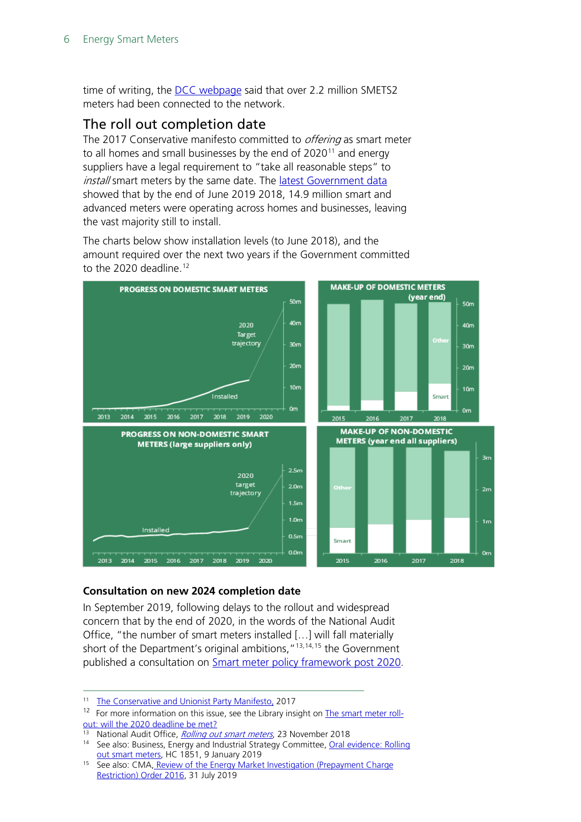time of writing, the [DCC webpage](https://www.smartdcc.co.uk/) said that over 2.2 million SMETS2 meters had been connected to the network.

### <span id="page-5-0"></span>The roll out completion date

The 2017 Conservative manifesto committed to *offering* as smart meter to all homes and small businesses by the end of 2020<sup>[11](#page-5-1)</sup> and energy suppliers have a legal requirement to "take all reasonable steps" to install smart meters by the same date. The latest Government data showed that by the end of June 2019 2018, 14.9 million smart and advanced meters were operating across homes and businesses, leaving the vast majority still to install.

The charts below show installation levels (to June 2018), and the amount required over the next two years if the Government committed to the 2020 deadline.<sup>[12](#page-5-2)</sup>



#### **Consultation on new 2024 completion date**

In September 2019, following delays to the rollout and widespread concern that by the end of 2020, in the words of the National Audit Office, "the number of smart meters installed […] will fall materially short of the Department's original ambitions,  $^{\prime\prime}$ <sup>[13](#page-5-3),[14,](#page-5-4)[15](#page-5-5)</sup> the Government published a consultation on **Smart meter policy framework post 2020**.

<span id="page-5-1"></span> <sup>11</sup> [The Conservative and Unionist Party Manifesto,](https://www.conservatives.com/manifesto) <sup>2017</sup>

<span id="page-5-2"></span> $12$  For more information on this issue, see the Library insight on [The smart meter roll](https://commonslibrary.parliament.uk/social-policy/housing/the-smart-meter-roll-out-will-the-2020-deadline-be-met%E2%80%AF%E2%80%AF/)[out: will the 2020 deadline be met?](https://commonslibrary.parliament.uk/social-policy/housing/the-smart-meter-roll-out-will-the-2020-deadline-be-met%E2%80%AF%E2%80%AF/)

<span id="page-5-3"></span><sup>&</sup>lt;sup>13</sup> National Audit Office, *[Rolling out smart meters](https://www.nao.org.uk/wp-content/uploads/2018/11/Rolling-out-smart-meters.pdf)*, 23 November 2018

<span id="page-5-4"></span><sup>14</sup> See also: Business, Energy and Industrial Strategy Committee, Oral evidence: Rolling out [smart meters,](http://data.parliament.uk/writtenevidence/committeeevidence.svc/evidencedocument/business-energy-and-industrial-strategy-committee/rolling-out-smart-meters/oral/94877.pdf) HC 1851, 9 January 2019

<span id="page-5-5"></span><sup>&</sup>lt;sup>15</sup> See also: CMA, Review of the Energy Market Investigation (Prepayment Charge [Restriction\) Order 2016,](https://assets.publishing.service.gov.uk/media/5d405962e5274a4016893bd0/Final_Decision_PPPC.pdf) 31 July 2019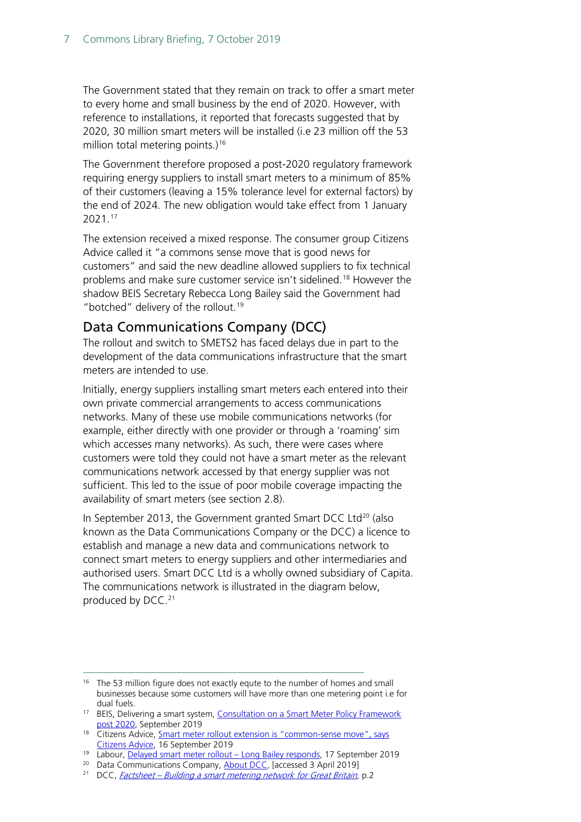The Government stated that they remain on track to offer a smart meter to every home and small business by the end of 2020. However, with reference to installations, it reported that forecasts suggested that by 2020, 30 million smart meters will be installed (i.e 23 million off the 53 million total metering points.) [16](#page-6-1)

The Government therefore proposed a post-2020 regulatory framework requiring energy suppliers to install smart meters to a minimum of 85% of their customers (leaving a 15% tolerance level for external factors) by the end of 2024. The new obligation would take effect from 1 January 2021. [17](#page-6-2)

The extension received a mixed response. The consumer group Citizens Advice called it "a commons sense move that is good news for customers" and said the new deadline allowed suppliers to fix technical problems and make sure customer service isn't sidelined.[18](#page-6-3) However the shadow BEIS Secretary Rebecca Long Bailey said the Government had "botched" delivery of the rollout.<sup>[19](#page-6-4)</sup>

#### <span id="page-6-0"></span>Data Communications Company (DCC)

The rollout and switch to SMETS2 has faced delays due in part to the development of the data communications infrastructure that the smart meters are intended to use.

Initially, energy suppliers installing smart meters each entered into their own private commercial arrangements to access communications networks. Many of these use mobile communications networks (for example, either directly with one provider or through a 'roaming' sim which accesses many networks). As such, there were cases where customers were told they could not have a smart meter as the relevant communications network accessed by that energy supplier was not sufficient. This led to the issue of poor mobile coverage impacting the availability of smart meters (see section 2.8).

In September [20](#page-6-5)13, the Government granted Smart DCC Ltd<sup>20</sup> (also known as the Data Communications Company or the DCC) a licence to establish and manage a new data and communications network to connect smart meters to energy suppliers and other intermediaries and authorised users. Smart DCC Ltd is a wholly owned subsidiary of Capita. The communications network is illustrated in the diagram below, produced by DCC.<sup>[21](#page-6-6)</sup>

<span id="page-6-1"></span><sup>&</sup>lt;sup>16</sup> The 53 million figure does not exactly equte to the number of homes and small businesses because some customers will have more than one metering point i.e for

<span id="page-6-2"></span>dual fuels.<br><sup>17</sup> BEIS, Delivering a smart system, Consultation on a Smart Meter Policy Framework [post 2020,](https://assets.publishing.service.gov.uk/government/uploads/system/uploads/attachment_data/file/831734/smart-meter-policy-framework-post-2020-consultation.pdf) September 2019

<span id="page-6-3"></span><sup>&</sup>lt;sup>18</sup> Citizens Advice, Smart meter rollout extension is "common-sense move", says [Citizens Advice,](https://www.citizensadvice.org.uk/about-us/how-citizens-advice-works/media/press-releases/smart-meter-rollout-extension-is-common-sense-move-says-citizens-advice/) 16 September 2019

<sup>19</sup> Labour, [Delayed smart meter rollout –](https://labour.org.uk/press/delayed-smart-meter-rollout-long-bailey-responds/) Long Bailey responds, 17 September 2019

<span id="page-6-5"></span><span id="page-6-4"></span><sup>&</sup>lt;sup>20</sup> Data Communications Company, [About DCC,](https://www.smartdcc.co.uk/about-dcc/) [accessed 3 April 2019]

<span id="page-6-6"></span><sup>&</sup>lt;sup>21</sup> DCC, *Factsheet – [Building a smart metering network for Great Britain](https://www.smartdcc.co.uk/media/338770/15574_building_a_smart_metering_network_v3.pdf)*, p.2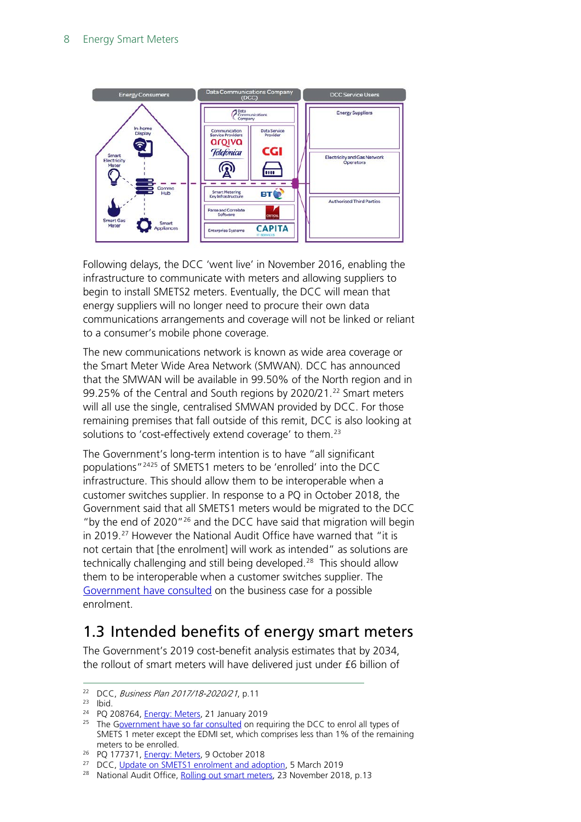![](_page_7_Figure_1.jpeg)

Following delays, the DCC 'went live' in November 2016, enabling the infrastructure to communicate with meters and allowing suppliers to begin to install SMETS2 meters. Eventually, the DCC will mean that energy suppliers will no longer need to procure their own data communications arrangements and coverage will not be linked or reliant to a consumer's mobile phone coverage.

The new communications network is known as wide area coverage or the Smart Meter Wide Area Network (SMWAN). DCC has announced that the SMWAN will be available in 99.50% of the North region and in 99.25% of the Central and South regions by 2020/21.<sup>[22](#page-7-1)</sup> Smart meters will all use the single, centralised SMWAN provided by DCC. For those remaining premises that fall outside of this remit, DCC is also looking at solutions to 'cost-effectively extend coverage' to them.<sup>[23](#page-7-2)</sup>

The Government's long-term intention is to have "all significant populations"[24](#page-7-3)[25](#page-7-4) of SMETS1 meters to be 'enrolled' into the DCC infrastructure. This should allow them to be interoperable when a customer switches supplier. In response to a PQ in October 2018, the Government said that all SMETS1 meters would be migrated to the DCC "by the end of 2020"[26](#page-7-5) and the DCC have said that migration will begin in 2019.<sup>[27](#page-7-6)</sup> However the National Audit Office have warned that "it is not certain that [the enrolment] will work as intended" as solutions are technically challenging and still being developed.<sup>[28](#page-7-7)</sup> This should allow them to be interoperable when a customer switches supplier. The [Government have consulted](https://www.gov.uk/government/consultations/enrolment-of-smets1-meter-cohorts-with-the-data-communications-company) on the business case for a possible enrolment.

### <span id="page-7-0"></span>1.3 Intended benefits of energy smart meters

The Government's 2019 cost-benefit analysis estimates that by 2034, the rollout of smart meters will have delivered just under £6 billion of

<span id="page-7-1"></span><sup>&</sup>lt;sup>22</sup> DCC, *Business Plan 2017/18-2020/21*, p.11

<span id="page-7-2"></span><sup>23</sup> Ibid.

<span id="page-7-3"></span><sup>24</sup> PQ 208764, [Energy: Meters,](https://www.parliament.uk/written-questions-answers-statements/written-question/commons/2019-01-15/208764) 21 January 2019

<span id="page-7-4"></span><sup>&</sup>lt;sup>25</sup> The [Government have so far consulted](https://assets.publishing.service.gov.uk/government/uploads/system/uploads/attachment_data/file/803966/smip-dcc-enrolment-govt-response.pdf) on requiring the DCC to enrol all types of SMETS 1 meter except the EDMI set, which comprises less than 1% of the remaining meters to be enrolled.<br><sup>26</sup> PQ 177371, [Energy: Meters,](https://www.parliament.uk/written-questions-answers-statements/written-question/commons/2018-10-09/177371) 9 October 2018

<span id="page-7-6"></span><span id="page-7-5"></span><sup>&</sup>lt;sup>27</sup> DCC, [Update on SMETS1 enrolment and adoption,](https://www.smartdcc.co.uk/news-and-insights/news/update-on-smets1-enrolment-and-adoption/) 5 March 2019

<span id="page-7-7"></span><sup>&</sup>lt;sup>28</sup> National Audit Office, [Rolling out smart meters,](https://www.nao.org.uk/wp-content/uploads/2018/11/Rolling-out-smart-meters.pdf) 23 November 2018, p.13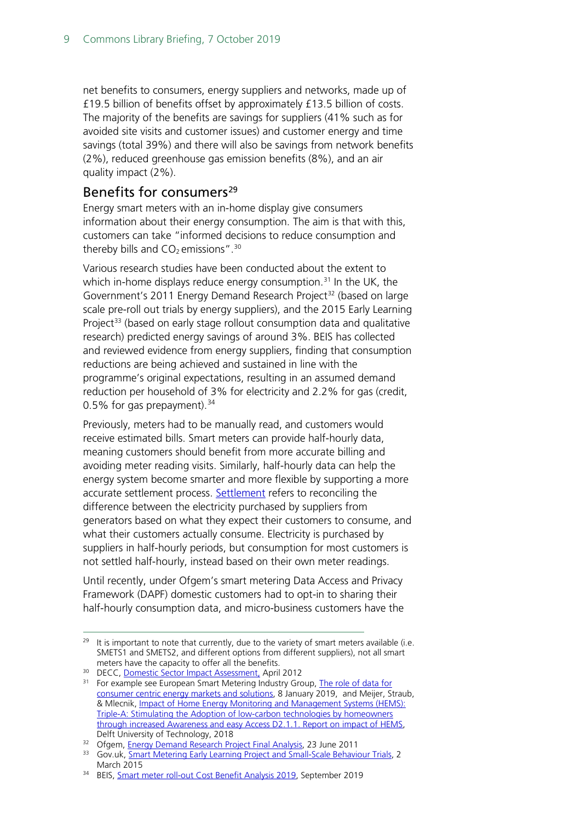net benefits to consumers, energy suppliers and networks, made up of £19.5 billion of benefits offset by approximately £13.5 billion of costs. The majority of the benefits are savings for suppliers (41% such as for avoided site visits and customer issues) and customer energy and time savings (total 39%) and there will also be savings from network benefits (2%), reduced greenhouse gas emission benefits (8%), and an air quality impact (2%).

#### <span id="page-8-0"></span>Benefits for consumers<sup>[29](#page-8-1)</sup>

Energy smart meters with an in-home display give consumers information about their energy consumption. The aim is that with this, customers can take "informed decisions to reduce consumption and thereby bills and  $CO<sub>2</sub>$  emissions".<sup>[30](#page-8-2)</sup>

Various research studies have been conducted about the extent to which in-home displays reduce energy consumption.<sup>[31](#page-8-3)</sup> In the UK, the Government's 2011 Energy Demand Research Project<sup>[32](#page-8-4)</sup> (based on large scale pre-roll out trials by energy suppliers), and the 2015 Early Learning Project<sup>[33](#page-8-5)</sup> (based on early stage rollout consumption data and qualitative research) predicted energy savings of around 3%. BEIS has collected and reviewed evidence from energy suppliers, finding that consumption reductions are being achieved and sustained in line with the programme's original expectations, resulting in an assumed demand reduction per household of 3% for electricity and 2.2% for gas (credit, 0.5% for gas prepayment).  $34$ 

Previously, meters had to be manually read, and customers would receive estimated bills. Smart meters can provide half-hourly data, meaning customers should benefit from more accurate billing and avoiding meter reading visits. Similarly, half-hourly data can help the energy system become smarter and more flexible by supporting a more accurate settlement process. [Settlement](https://www.ofgem.gov.uk/electricity/retail-market/market-review-and-reform/smarter-markets-programme/electricity-settlement-reform) refers to reconciling the difference between the electricity purchased by suppliers from generators based on what they expect their customers to consume, and what their customers actually consume. Electricity is purchased by suppliers in half-hourly periods, but consumption for most customers is not settled half-hourly, instead based on their own meter readings.

Until recently, under Ofgem's smart metering Data Access and Privacy Framework (DAPF) domestic customers had to opt-in to sharing their half-hourly consumption data, and micro-business customers have the

<span id="page-8-1"></span><sup>&</sup>lt;sup>29</sup> It is important to note that currently, due to the variety of smart meters available (i.e. SMETS1 and SMETS2, and different options from different suppliers), not all smart meters have the capacity to offer all the benefits.<br><sup>30</sup> DECC, <u>Domestic Sector Impact Assessment,</u> April 2012<br><sup>31</sup> For example see European Smart Metering Industry Group, <u>The role of data for</u>

<span id="page-8-3"></span><span id="page-8-2"></span>

[consumer centric energy markets and solutions,](https://esmig.eu/resource/report-role-data-consumer-centric-energy) 8 January 2019, and Meijer, Straub, & Mlecnik, [Impact of Home Energy Monitoring and Management Systems \(HEMS\):](https://www.google.com/url?sa=t&rct=j&q=&esrc=s&source=web&cd=1&ved=2ahUKEwjG8pvQ7qHeAhWjsqQKHbhwDHoQFjAAegQICRAC&url=https%3A%2F%2Frepository.tudelft.nl%2Fislandora%2Fobject%2Fuuid%3Ab2813bfa-cf6e-46f3-8373-4e8fc68fe913%2Fdatastream%2FOBJ%2Fdownload&usg=AOvVaw1DEoDx9FUh48H7iK3qj95e)  [Triple-A: Stimulating the Adoption of low-carbon technologies by homeowners](https://www.google.com/url?sa=t&rct=j&q=&esrc=s&source=web&cd=1&ved=2ahUKEwjG8pvQ7qHeAhWjsqQKHbhwDHoQFjAAegQICRAC&url=https%3A%2F%2Frepository.tudelft.nl%2Fislandora%2Fobject%2Fuuid%3Ab2813bfa-cf6e-46f3-8373-4e8fc68fe913%2Fdatastream%2FOBJ%2Fdownload&usg=AOvVaw1DEoDx9FUh48H7iK3qj95e)  [through increased Awareness and easy Access D2.1.1. Report on impact of HEMS,](https://www.google.com/url?sa=t&rct=j&q=&esrc=s&source=web&cd=1&ved=2ahUKEwjG8pvQ7qHeAhWjsqQKHbhwDHoQFjAAegQICRAC&url=https%3A%2F%2Frepository.tudelft.nl%2Fislandora%2Fobject%2Fuuid%3Ab2813bfa-cf6e-46f3-8373-4e8fc68fe913%2Fdatastream%2FOBJ%2Fdownload&usg=AOvVaw1DEoDx9FUh48H7iK3qj95e) Delft University of Technology, 2018

<span id="page-8-4"></span><sup>&</sup>lt;sup>32</sup> Ofgem[, Energy Demand Research Project Final Analysis,](https://www.ofgem.gov.uk/publications-and-updates/energy-demand-research-project-final-analysis) 23 June 2011

<span id="page-8-5"></span><sup>33</sup> Gov.uk, [Smart Metering Early Learning Project and Small-Scale Behaviour Trials,](https://www.gov.uk/government/publications/smart-metering-early-learning-project-and-small-scale-behaviour-trials) 2 March 2015

<span id="page-8-6"></span><sup>34</sup> BEIS, [Smart meter roll-out Cost Benefit Analysis 2019,](https://assets.publishing.service.gov.uk/government/uploads/system/uploads/attachment_data/file/831716/smart-meter-roll-out-cost-benefit-analysis-2019.pdf) September 2019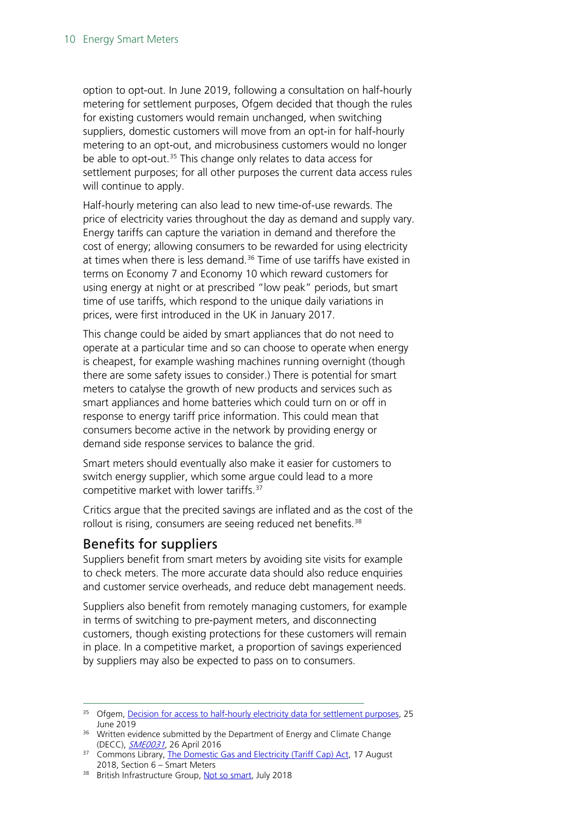option to opt-out. In June 2019, following a consultation on half-hourly metering for settlement purposes, Ofgem decided that though the rules for existing customers would remain unchanged, when switching suppliers, domestic customers will move from an opt-in for half-hourly metering to an opt-out, and microbusiness customers would no longer be able to opt-out.<sup>[35](#page-9-1)</sup> This change only relates to data access for settlement purposes; for all other purposes the current data access rules will continue to apply.

Half-hourly metering can also lead to new time-of-use rewards. The price of electricity varies throughout the day as demand and supply vary. Energy tariffs can capture the variation in demand and therefore the cost of energy; allowing consumers to be rewarded for using electricity at times when there is less demand. [36](#page-9-2) Time of use tariffs have existed in terms on Economy 7 and Economy 10 which reward customers for using energy at night or at prescribed "low peak" periods, but smart time of use tariffs, which respond to the unique daily variations in prices, were first introduced in the UK in January 2017.

This change could be aided by smart appliances that do not need to operate at a particular time and so can choose to operate when energy is cheapest, for example washing machines running overnight (though there are some safety issues to consider.) There is potential for smart meters to catalyse the growth of new products and services such as smart appliances and home batteries which could turn on or off in response to energy tariff price information. This could mean that consumers become active in the network by providing energy or demand side response services to balance the grid.

Smart meters should eventually also make it easier for customers to switch energy supplier, which some argue could lead to a more competitive market with lower tariffs.[37](#page-9-3)

Critics argue that the precited savings are inflated and as the cost of the rollout is rising, consumers are seeing reduced net benefits.<sup>[38](#page-9-4)</sup>

### <span id="page-9-0"></span>Benefits for suppliers

Suppliers benefit from smart meters by avoiding site visits for example to check meters. The more accurate data should also reduce enquiries and customer service overheads, and reduce debt management needs.

Suppliers also benefit from remotely managing customers, for example in terms of switching to pre-payment meters, and disconnecting customers, though existing protections for these customers will remain in place. In a competitive market, a proportion of savings experienced by suppliers may also be expected to pass on to consumers.

<span id="page-9-4"></span>38 British Infrastructure Group[, Not so smart,](http://www.britishinfrastructuregroup.uk/wp-content/uploads/2018/07/BIG-Not-So-Smart-Full-Report.pdf) July 2018

<span id="page-9-1"></span><sup>&</sup>lt;sup>35</sup> Ofgem[, Decision for access to half-hourly electricity data for settlement purposes,](https://www.ofgem.gov.uk/publications-and-updates/decision-access-half-hourly-electricity-data-settlement-purposes) 25 June 2019

<span id="page-9-2"></span><sup>&</sup>lt;sup>36</sup> Written evidence submitted by the Department of Energy and Climate Change (DECC), **[SME0031](http://data.parliament.uk/writtenevidence/committeeevidence.svc/evidencedocument/science-and-technology-committee/smart-meters/written/32093.pdf)**, 26 April 2016

<span id="page-9-3"></span><sup>&</sup>lt;sup>37</sup> Commons Library, [The Domestic Gas and Electricity \(Tariff Cap\) Act,](https://researchbriefings.parliament.uk/ResearchBriefing/Summary/CBP-8242#fullreport) 17 August 2018, Section 6 – Smart Meters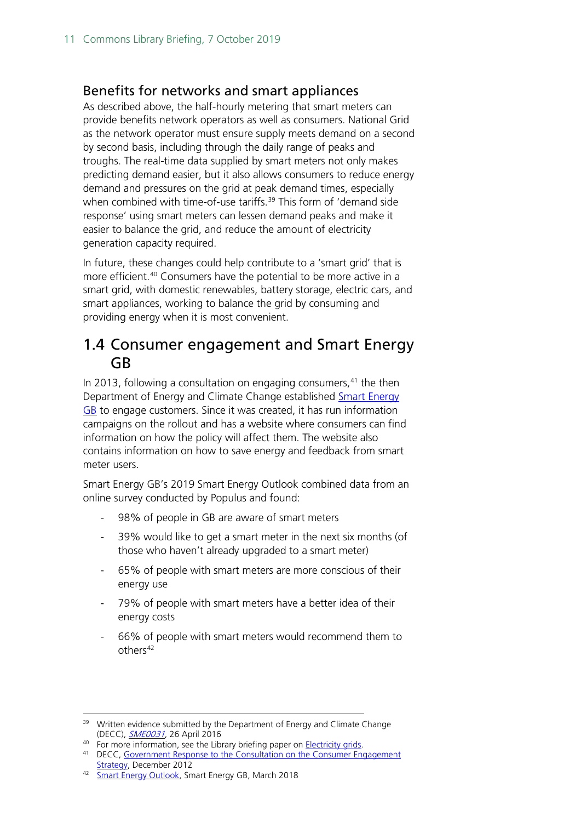#### <span id="page-10-0"></span>Benefits for networks and smart appliances

As described above, the half-hourly metering that smart meters can provide benefits network operators as well as consumers. National Grid as the network operator must ensure supply meets demand on a second by second basis, including through the daily range of peaks and troughs. The real-time data supplied by smart meters not only makes predicting demand easier, but it also allows consumers to reduce energy demand and pressures on the grid at peak demand times, especially when combined with time-of-use tariffs. [39](#page-10-2) This form of 'demand side response' using smart meters can lessen demand peaks and make it easier to balance the grid, and reduce the amount of electricity generation capacity required.

In future, these changes could help contribute to a 'smart grid' that is more efficient.<sup>[40](#page-10-3)</sup> Consumers have the potential to be more active in a smart grid, with domestic renewables, battery storage, electric cars, and smart appliances, working to balance the grid by consuming and providing energy when it is most convenient.

### <span id="page-10-1"></span>1.4 Consumer engagement and Smart Energy GB

In 2013, following a consultation on engaging consumers, $41$  the then Department of Energy and Climate Change established **Smart Energy** [GB](https://www.smartenergygb.org/en/about-us/about-smart-energy-gb) to engage customers. Since it was created, it has run information campaigns on the rollout and has a website where consumers can find information on how the policy will affect them. The website also contains information on how to save energy and feedback from smart meter users.

Smart Energy GB's 2019 Smart Energy Outlook combined data from an online survey conducted by Populus and found:

- 98% of people in GB are aware of smart meters
- 39% would like to get a smart meter in the next six months (of those who haven't already upgraded to a smart meter)
- 65% of people with smart meters are more conscious of their energy use
- 79% of people with smart meters have a better idea of their energy costs
- 66% of people with smart meters would recommend them to others<sup>[42](#page-10-5)</sup>

<span id="page-10-2"></span><sup>&</sup>lt;sup>39</sup> Written evidence submitted by the Department of Energy and Climate Change (DECC), **[SME0031](http://data.parliament.uk/writtenevidence/committeeevidence.svc/evidencedocument/science-and-technology-committee/smart-meters/written/32093.pdf)**, 26 April 2016<br><sup>40</sup> For more information, see the Library briefing paper on **Electricity grids**.

<span id="page-10-4"></span><span id="page-10-3"></span><sup>&</sup>lt;sup>41</sup> DECC, Government Response to the Consultation on the Consumer Engagement [Strategy,](https://www.gov.uk/government/uploads/system/uploads/attachment_data/file/43042/7224-gov-resp-sm-consumer-engagement.pdfhttps:/www.gov.uk/government/uploads/system/uploads/attachment_data/file/43042/7224-gov-resp-sm-consumer-engagement.pdf) December 2012

<span id="page-10-5"></span><sup>42</sup> [Smart Energy Outlook,](https://www.google.com/url?sa=t&rct=j&q=&esrc=s&source=web&cd=2&ved=2ahUKEwixwuiL-dzkAhUCsKQKHWKTDlAQFjABegQICxAE&url=https%3A%2F%2Fwww.smartenergygb.org%2Fen%2F-%2Fmedia%2FSmartEnergy%2Fessential-documents%2Fessential-documents%2Fenglish%2FOutlook_March-19_English-FINAL-Version.ashx&usg=AOvVaw3z2RmrfAC-CEF4YKHVReU7) Smart Energy GB, March 2018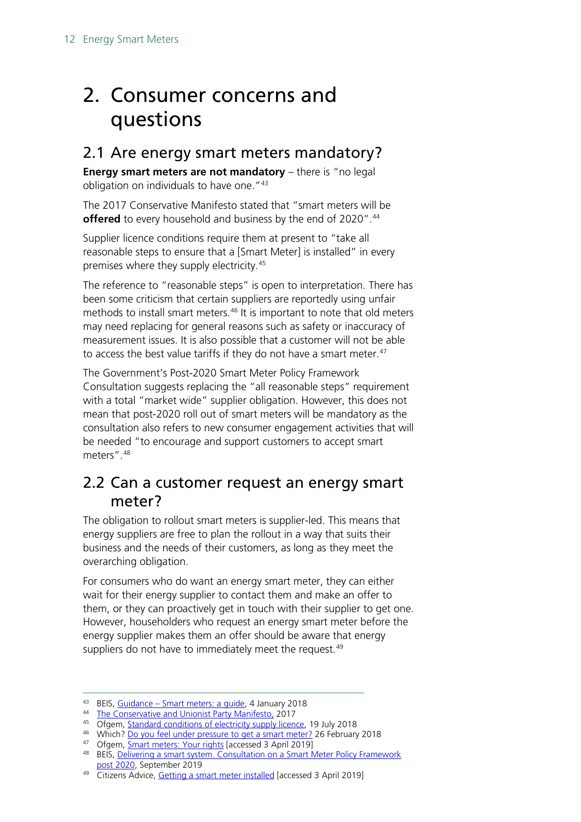## <span id="page-11-0"></span>2. Consumer concerns and questions

### <span id="page-11-1"></span>2.1 Are energy smart meters mandatory?

**Energy smart meters are not mandatory** – there is "no legal obligation on individuals to have one."<sup>[43](#page-11-3)</sup>

The 2017 Conservative Manifesto stated that "smart meters will be **offered** to every household and business by the end of 2020".<sup>[44](#page-11-4)</sup>

Supplier licence conditions require them at present to "take all reasonable steps to ensure that a [Smart Meter] is installed" in every premises where they supply electricity.[45](#page-11-5)

The reference to "reasonable steps" is open to interpretation. There has been some criticism that certain suppliers are reportedly using unfair methods to install smart meters.<sup>[46](#page-11-6)</sup> It is important to note that old meters may need replacing for general reasons such as safety or inaccuracy of measurement issues. It is also possible that a customer will not be able to access the best value tariffs if they do not have a smart meter.<sup>[47](#page-11-7)</sup>

The Government's Post-2020 Smart Meter Policy Framework Consultation suggests replacing the "all reasonable steps" requirement with a total "market wide" supplier obligation. However, this does not mean that post-2020 roll out of smart meters will be mandatory as the consultation also refers to new consumer engagement activities that will be needed "to encourage and support customers to accept smart meters"[.48](#page-11-8)

### <span id="page-11-2"></span>2.2 Can a customer request an energy smart meter?

The obligation to rollout smart meters is supplier-led. This means that energy suppliers are free to plan the rollout in a way that suits their business and the needs of their customers, as long as they meet the overarching obligation.

For consumers who do want an energy smart meter, they can either wait for their energy supplier to contact them and make an offer to them, or they can proactively get in touch with their supplier to get one. However, householders who request an energy smart meter before the energy supplier makes them an offer should be aware that energy suppliers do not have to immediately meet the request.<sup>[49](#page-11-9)</sup>

<span id="page-11-3"></span><sup>43</sup> BEIS, Guidance – [Smart meters: a guide,](https://www.gov.uk/guidance/smart-meters-how-they-work) 4 January 2018

<span id="page-11-4"></span><sup>44</sup> [The Conservative and Unionist Party Manifesto,](https://www.conservatives.com/manifesto) 2017

<span id="page-11-5"></span><sup>&</sup>lt;sup>45</sup> Ofgem, **Standard conditions of electricity supply licence**, 19 July 2018

<span id="page-11-6"></span><sup>46</sup> Which[? Do you feel under pressure to get a smart meter?](https://www.which.co.uk/news/2018/02/do-you-feel-under-pressure-to-get-a-smart-meter/) 26 February 2018

<span id="page-11-7"></span><sup>47</sup> Ofgem, **Smart meters: Your rights** [accessed 3 April 2019]

<span id="page-11-8"></span><sup>48</sup> BEIS, Delivering a smart system. Consultation on a Smart Meter Policy Framework [post 2020,](https://assets.publishing.service.gov.uk/government/uploads/system/uploads/attachment_data/file/831734/smart-meter-policy-framework-post-2020-consultation.pdf) September 2019

<span id="page-11-9"></span><sup>&</sup>lt;sup>49</sup> Citizens Advice, [Getting a smart meter installed](https://www.citizensadvice.org.uk/consumer/energy/energy-supply/your-energy-meter/getting-a-smart-meter-installed/) [accessed 3 April 2019]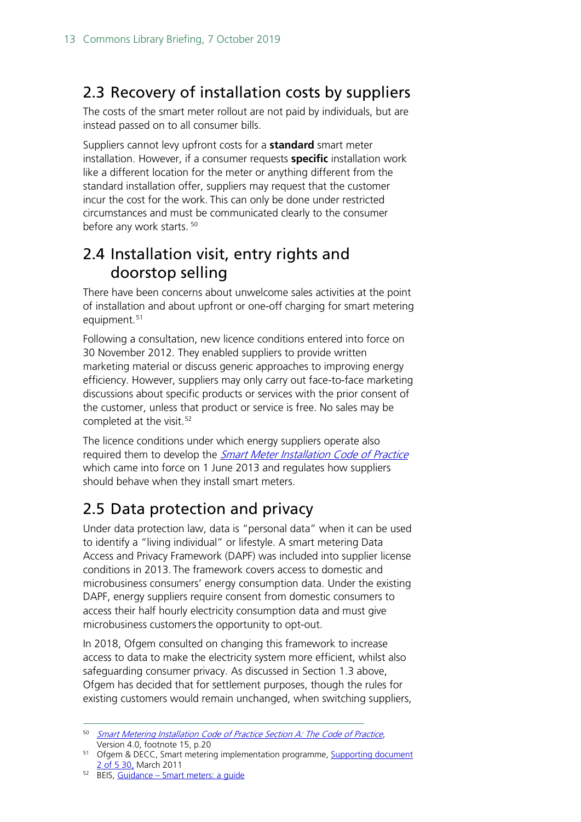### <span id="page-12-0"></span>2.3 Recovery of installation costs by suppliers

The costs of the smart meter rollout are not paid by individuals, but are instead passed on to all consumer bills.

Suppliers cannot levy upfront costs for a **standard** smart meter installation. However, if a consumer requests **specific** installation work like a different location for the meter or anything different from the standard installation offer, suppliers may request that the customer incur the cost for the work. This can only be done under restricted circumstances and must be communicated clearly to the consumer before any work starts.<sup>[50](#page-12-3)</sup>

### <span id="page-12-1"></span>2.4 Installation visit, entry rights and doorstop selling

There have been concerns about unwelcome sales activities at the point of installation and about upfront or one-off charging for smart metering equipment.<sup>[51](#page-12-4)</sup>

Following a consultation, new licence conditions entered into force on 30 November 2012. They enabled suppliers to provide written marketing material or discuss generic approaches to improving energy efficiency. However, suppliers may only carry out face-to-face marketing discussions about specific products or services with the prior consent of the customer, unless that product or service is free. No sales may be completed at the visit.<sup>52</sup>

The licence conditions under which energy suppliers operate also required them to develop the *[Smart Meter Installation Code of Practice](http://www.smicop.co.uk/SitePages/Home.aspx)* which came into force on 1 June 2013 and regulates how suppliers should behave when they install smart meters.

## <span id="page-12-2"></span>2.5 Data protection and privacy

Under data protection law, data is "personal data" when it can be used to identify a "living individual" or lifestyle. A smart metering Data Access and Privacy Framework (DAPF) was included into supplier license conditions in 2013. The framework covers access to domestic and microbusiness consumers' energy consumption data. Under the existing DAPF, energy suppliers require consent from domestic consumers to access their half hourly electricity consumption data and must give microbusiness customersthe opportunity to opt-out.

In 2018, Ofgem consulted on changing this framework to increase access to data to make the electricity system more efficient, whilst also safeguarding consumer privacy. As discussed in Section 1.3 above, Ofgem has decided that for settlement purposes, though the rules for existing customers would remain unchanged, when switching suppliers,

<span id="page-12-3"></span> <sup>50</sup> [Smart Metering Installation Code of Practice Section A: The Code of Practice](http://www.smicop.co.uk/SitePages/Home.aspx), Version 4.0, footnote 15, p.20

<span id="page-12-4"></span><sup>51</sup> Ofgem & DECC, Smart metering implementation programme, [Supporting document](https://www.gov.uk/government/uploads/system/uploads/attachment_data/file/42735/1479-rollout-strategy-smart-metering.pdf)  2 of 5 30, March 2011<br><sup>52</sup> BEIS, Guidance – [Smart meters: a guide](https://www.gov.uk/guidance/smart-meters-how-they-work)

<span id="page-12-5"></span>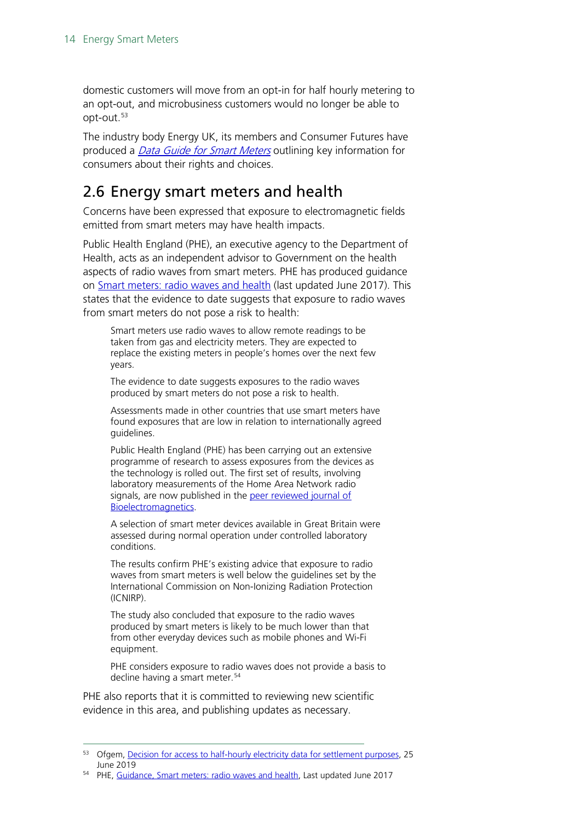domestic customers will move from an opt-in for half hourly metering to an opt-out, and microbusiness customers would no longer be able to opt-out.[53](#page-13-1)

The industry body Energy UK, its members and Consumer Futures have produced a *[Data Guide for Smart Meters](http://www.energy-uk.org.uk/policy/smart-meters.html)* outlining key information for consumers about their rights and choices.

### <span id="page-13-0"></span>2.6 Energy smart meters and health

Concerns have been expressed that exposure to electromagnetic fields emitted from smart meters may have health impacts.

Public Health England (PHE), an executive agency to the Department of Health, acts as an independent advisor to Government on the health aspects of radio waves from smart meters. PHE has produced guidance on [Smart meters: radio waves and health](https://www.gov.uk/government/publications/smart-meters-radio-waves-and-health/smart-meters-radio-waves-and-health) (last updated June 2017). This states that the evidence to date suggests that exposure to radio waves from smart meters do not pose a risk to health:

Smart meters use radio waves to allow remote readings to be taken from gas and electricity meters. They are expected to replace the existing meters in people's homes over the next few years.

The evidence to date suggests exposures to the radio waves produced by smart meters do not pose a risk to health.

Assessments made in other countries that use smart meters have found exposures that are low in relation to internationally agreed guidelines.

Public Health England (PHE) has been carrying out an extensive programme of research to assess exposures from the devices as the technology is rolled out. The first set of results, involving laboratory measurements of the Home Area Network radio signals, are now published in the peer reviewed journal of [Bioelectromagnetics.](http://onlinelibrary.wiley.com/doi/10.1002/bem.22044/abstract)

A selection of smart meter devices available in Great Britain were assessed during normal operation under controlled laboratory conditions.

The results confirm PHE's existing advice that exposure to radio waves from smart meters is well below the guidelines set by the International Commission on Non-Ionizing Radiation Protection (ICNIRP).

The study also concluded that exposure to the radio waves produced by smart meters is likely to be much lower than that from other everyday devices such as mobile phones and Wi-Fi equipment.

PHE considers exposure to radio waves does not provide a basis to decline having a smart meter.<sup>[54](#page-13-2)</sup>

PHE also reports that it is committed to reviewing new scientific evidence in this area, and publishing updates as necessary.

<span id="page-13-1"></span><sup>&</sup>lt;sup>53</sup> Ofgem[, Decision for access to half-hourly electricity data for settlement purposes,](https://www.ofgem.gov.uk/publications-and-updates/decision-access-half-hourly-electricity-data-settlement-purposes) 25 June 2019

<span id="page-13-2"></span><sup>54</sup> PHE, [Guidance, Smart meters: radio waves and health,](https://www.gov.uk/government/publications/smart-meters-radio-waves-and-health/smart-meters-radio-waves-and-health) Last updated June 2017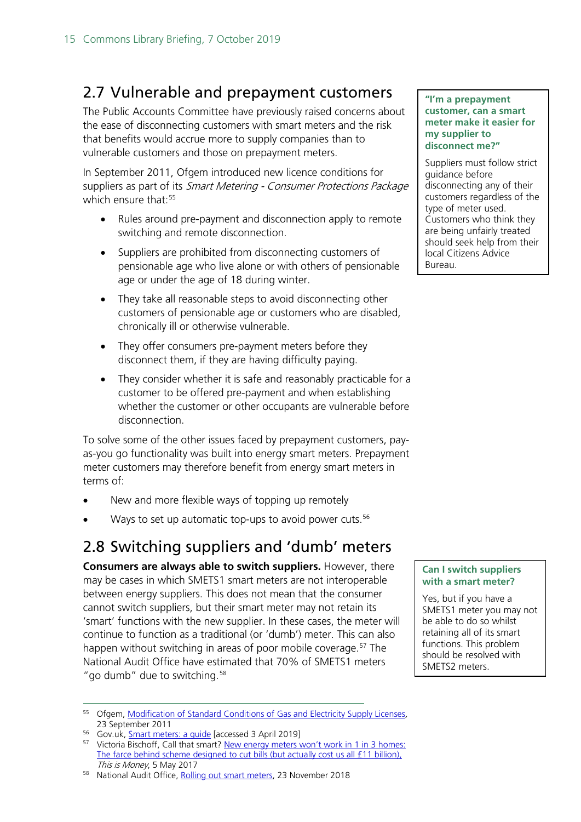### <span id="page-14-0"></span>2.7 Vulnerable and prepayment customers

The Public Accounts Committee have previously raised concerns about the ease of disconnecting customers with smart meters and the risk that benefits would accrue more to supply companies than to vulnerable customers and those on prepayment meters.

In September 2011, Ofgem introduced new licence conditions for suppliers as part of its Smart Metering - Consumer Protections Package which ensure that: [55](#page-14-2)

- Rules around pre-payment and disconnection apply to remote switching and remote disconnection.
- Suppliers are prohibited from disconnecting customers of pensionable age who live alone or with others of pensionable age or under the age of 18 during winter.
- They take all reasonable steps to avoid disconnecting other customers of pensionable age or customers who are disabled, chronically ill or otherwise vulnerable.
- They offer consumers pre-payment meters before they disconnect them, if they are having difficulty paying.
- They consider whether it is safe and reasonably practicable for a customer to be offered pre-payment and when establishing whether the customer or other occupants are vulnerable before disconnection.

To solve some of the other issues faced by prepayment customers, payas-you go functionality was built into energy smart meters. Prepayment meter customers may therefore benefit from energy smart meters in terms of:

- New and more flexible ways of topping up remotely
- Ways to set up automatic top-ups to avoid power cuts.<sup>[56](#page-14-3)</sup>

### <span id="page-14-1"></span>2.8 Switching suppliers and 'dumb' meters

**Consumers are always able to switch suppliers.** However, there may be cases in which SMETS1 smart meters are not interoperable between energy suppliers. This does not mean that the consumer cannot switch suppliers, but their smart meter may not retain its 'smart' functions with the new supplier. In these cases, the meter will continue to function as a traditional (or 'dumb') meter. This can also happen without switching in areas of poor mobile coverage.<sup>[57](#page-14-4)</sup> The National Audit Office have estimated that 70% of SMETS1 meters "go dumb" due to switching.<sup>[58](#page-14-5)</sup>

#### **"I'm a prepayment customer, can a smart meter make it easier for my supplier to disconnect me?"**

Suppliers must follow strict guidance before disconnecting any of their customers regardless of the type of meter used. Customers who think they are being unfairly treated should seek help from their local Citizens Advice Bureau.

#### **Can I switch suppliers with a smart meter?**

Yes, but if you have a SMETS1 meter you may not be able to do so whilst retaining all of its smart functions. This problem should be resolved with SMETS2 meters.

<span id="page-14-2"></span><sup>&</sup>lt;sup>55</sup> Ofgem, <u>Modification of Standard Conditions of Gas and Electricity Supply Licenses</u>,<br>23 September 2011

<span id="page-14-4"></span><span id="page-14-3"></span>

<sup>&</sup>lt;sup>56</sup> Gov.uk, <u>Smart meters: a guide</u> [\[](https://www.gov.uk/guidance/smart-meters-how-they-work#benefits-for-prepayment-customers)accessed 3 April 2019]<br><sup>57</sup> Victoria Bischoff, Call that smart? <u>New energy meters won't work in 1 in 3 homes:</u> [The farce behind scheme designed to](http://www.thisismoney.co.uk/money/bills/article-4291166/Not-smart-New-energy-meters-won-t-work-1-3-homes.html) cut bills (but actually cost us all £11 billion). This is Money, 5 May 2017

<span id="page-14-5"></span><sup>58</sup> National Audit Office, [Rolling out smart meters,](https://www.nao.org.uk/wp-content/uploads/2018/11/Rolling-out-smart-meters.pdf) 23 November 2018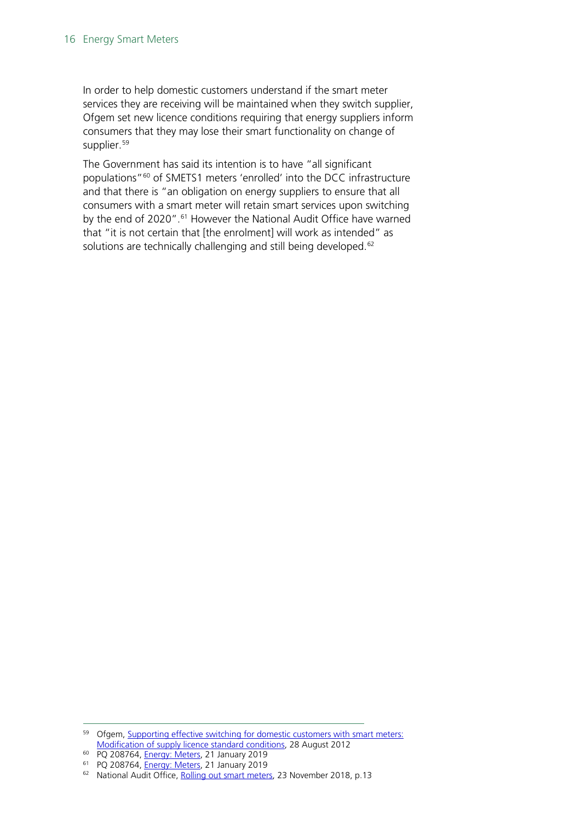In order to help domestic customers understand if the smart meter services they are receiving will be maintained when they switch supplier, Ofgem set new licence conditions requiring that energy suppliers inform consumers that they may lose their smart functionality on change of supplier. [59](#page-15-0)

The Government has said its intention is to have "all significant populations"[60](#page-15-1) of SMETS1 meters 'enrolled' into the DCC infrastructure and that there is "an obligation on energy suppliers to ensure that all consumers with a smart meter will retain smart services upon switching by the end of 2020".<sup>[61](#page-15-2)</sup> However the National Audit Office have warned that "it is not certain that [the enrolment] will work as intended" as solutions are technically challenging and still being developed. [62](#page-15-3)

<span id="page-15-0"></span><sup>59</sup> Ofgem, Supporting effective switching for domestic customers with smart meters: [Modification of supply licence standard conditions,](https://www.ofgem.gov.uk/publications-and-updates/supporting-effective-switching-domestic-customers-smart-meters-modification-supply-licence-standard-conditions) 28 August 2012

<span id="page-15-1"></span><sup>60</sup> PQ 208764, [Energy: Meters,](https://www.parliament.uk/written-questions-answers-statements/written-question/commons/2019-01-15/208764) 21 January 2019

<span id="page-15-2"></span><sup>&</sup>lt;sup>61</sup> PQ 208764, *Energy: Meters*, 21 January 2019

<span id="page-15-3"></span><sup>62</sup> National Audit Office, [Rolling out smart meters,](https://www.nao.org.uk/wp-content/uploads/2018/11/Rolling-out-smart-meters.pdf) 23 November 2018, p.13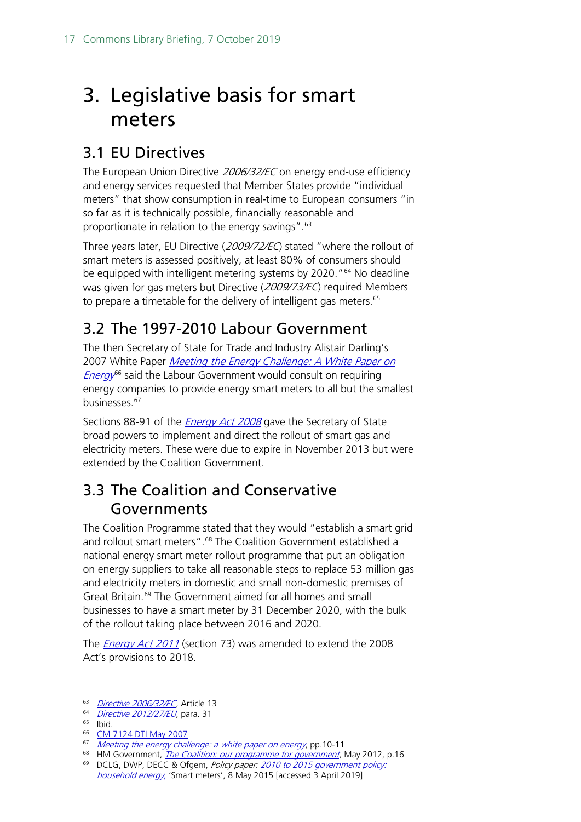## <span id="page-16-0"></span>3. Legislative basis for smart meters

### <span id="page-16-1"></span>3.1 EU Directives

The European Union Directive 2006/32/EC on energy end-use efficiency and energy services requested that Member States provide "individual meters" that show consumption in real-time to European consumers "in so far as it is technically possible, financially reasonable and proportionate in relation to the energy savings".<sup>[63](#page-16-4)</sup>

Three years later, EU Directive (2009/72/EC) stated "where the rollout of smart meters is assessed positively, at least 80% of consumers should be equipped with intelligent metering systems by 2020."<sup>[64](#page-16-5)</sup> No deadline was given for gas meters but Directive (2009/73/EC) required Members to prepare a timetable for the delivery of intelligent gas meters.<sup>[65](#page-16-6)</sup>

### <span id="page-16-2"></span>3.2 The 1997-2010 Labour Government

The then Secretary of State for Trade and Industry Alistair Darling's 2007 White Paper Meeting the Energy Challenge: A White Paper on  $Energy^{66}$  $Energy^{66}$  $Energy^{66}$  $Energy^{66}$  said the Labour Government would consult on requiring energy companies to provide energy smart meters to all but the smallest businesses. [67](#page-16-8)

Sections 88-91 of the *[Energy Act 2008](http://www.legislation.gov.uk/ukpga/2008/32/contents)* gave the Secretary of State broad powers to implement and direct the rollout of smart gas and electricity meters. These were due to expire in November 2013 but were extended by the Coalition Government.

### <span id="page-16-3"></span>3.3 The Coalition and Conservative Governments

The Coalition Programme stated that they would "establish a smart grid and rollout smart meters".<sup>[68](#page-16-9)</sup> The Coalition Government established a national energy smart meter rollout programme that put an obligation on energy suppliers to take all reasonable steps to replace 53 million gas and electricity meters in domestic and small non-domestic premises of Great Britain.<sup>[69](#page-16-10)</sup> The Government aimed for all homes and small businesses to have a smart meter by 31 December 2020, with the bulk of the rollout taking place between 2016 and 2020.

The **[Energy Act 2011](http://www.legislation.gov.uk/ukpga/2011/16/contents/enacted)** (section 73) was amended to extend the 2008 Act's provisions to 2018.

<span id="page-16-7"></span><sup>66</sup> [CM 7124 DTI May 2007](http://www.berr.gov.uk/energy/whitepaper/page39534.html)

<span id="page-16-4"></span><sup>63</sup> [Directive 2006/32/EC](http://eur-lex.europa.eu/legal-content/EN/TXT/?uri=CELEX:32006L0032), Article 13

<span id="page-16-5"></span><sup>64</sup> [Directive 2012/27/EU](http://eur-lex.europa.eu/legal-content/EN/TXT/?qid=1399375464230&uri=CELEX:32012L0027), para. 31

<span id="page-16-6"></span> $65$  Ibid.

<span id="page-16-8"></span><sup>67</sup> [Meeting the energy challenge: a white paper on energy](http://webarchive.nationalarchives.gov.uk/20121205174605/http:/www.decc.gov.uk/assets/decc/publications/white_paper_07/file39387.pdf), pp.10-11

<span id="page-16-9"></span><sup>&</sup>lt;sup>68</sup> HM Government, *[The Coalition: our programme for government](https://www.gov.uk/government/uploads/system/uploads/attachment_data/file/78977/coalition_programme_for_government.pdf)*, May 2012, p.16

<span id="page-16-10"></span><sup>69</sup> DCLG, DWP, DECC & Ofgem, Policy paper: 2010 to 2015 government policy: [household energy](https://www.gov.uk/government/publications/2010-to-2015-government-policy-household-energy/2010-to-2015-government-policy-household-energy#appendix-7-smart-meters), 'Smart meters', 8 May 2015 [accessed 3 April 2019]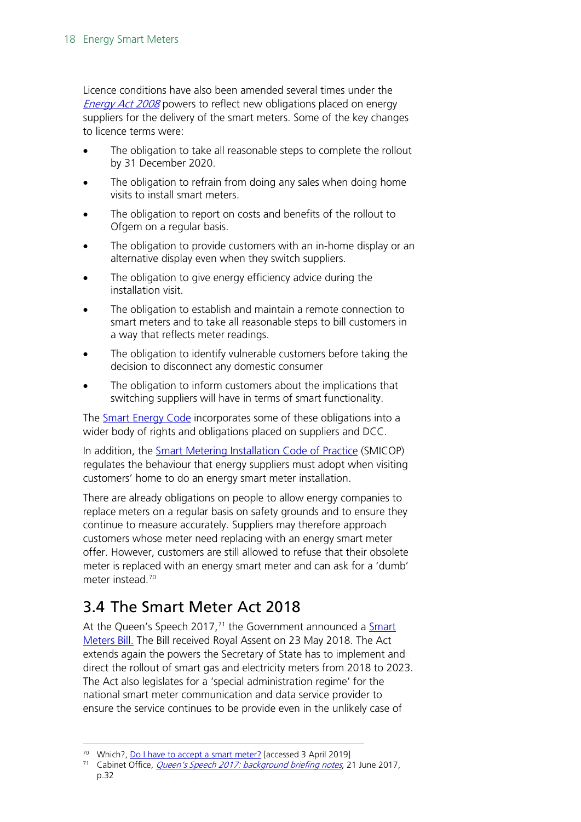Licence conditions have also been amended several times under the [Energy Act 2008](https://www.legislation.gov.uk/ukpga/2008/32/contents) powers to reflect new obligations placed on energy suppliers for the delivery of the smart meters. Some of the key changes to licence terms were:

- The obligation to take all reasonable steps to complete the rollout by 31 December 2020.
- The obligation to refrain from doing any sales when doing home visits to install smart meters.
- The obligation to report on costs and benefits of the rollout to Ofgem on a regular basis.
- The obligation to provide customers with an in-home display or an alternative display even when they switch suppliers.
- The obligation to give energy efficiency advice during the installation visit.
- The obligation to establish and maintain a remote connection to smart meters and to take all reasonable steps to bill customers in a way that reflects meter readings.
- The obligation to identify vulnerable customers before taking the decision to disconnect any domestic consumer
- The obligation to inform customers about the implications that switching suppliers will have in terms of smart functionality.

The **Smart Energy Code** incorporates some of these obligations into a wider body of rights and obligations placed on suppliers and DCC.

In addition, the [Smart Metering Installation Code of Practice](http://www.smicop.co.uk/SitePages/Home.aspx) (SMICOP) regulates the behaviour that energy suppliers must adopt when visiting customers' home to do an energy smart meter installation.

There are already obligations on people to allow energy companies to replace meters on a regular basis on safety grounds and to ensure they continue to measure accurately. Suppliers may therefore approach customers whose meter need replacing with an energy smart meter offer. However, customers are still allowed to refuse that their obsolete meter is replaced with an energy smart meter and can ask for a 'dumb' meter instead.[70](#page-17-1)

### <span id="page-17-0"></span>3.4 The Smart Meter Act 2018

At the Queen's Speech 2017,<sup>[71](#page-17-2)</sup> the Government announced a Smart [Meters](https://services.parliament.uk/bills/2017-19/smartmeters.html) Bill. The Bill received Royal Assent on 23 May 2018. The Act extends again the powers the Secretary of State has to implement and direct the rollout of smart gas and electricity meters from 2018 to 2023. The Act also legislates for a 'special administration regime' for the national smart meter communication and data service provider to ensure the service continues to be provide even in the unlikely case of

<span id="page-17-1"></span><sup>&</sup>lt;sup>70</sup> Which?, [Do I have to accept a smart meter?](http://www.which.co.uk/consumer-rights/advice/do-i-have-to-accept-a-smart-meter) [accessed 3 April 2019]

<span id="page-17-2"></span><sup>&</sup>lt;sup>71</sup> Cabinet Office, *[Queen's Speech 2017: background briefing notes](https://www.gov.uk/government/publications/queens-speech-2017-background-briefing-notes)*, 21 June 2017, p.32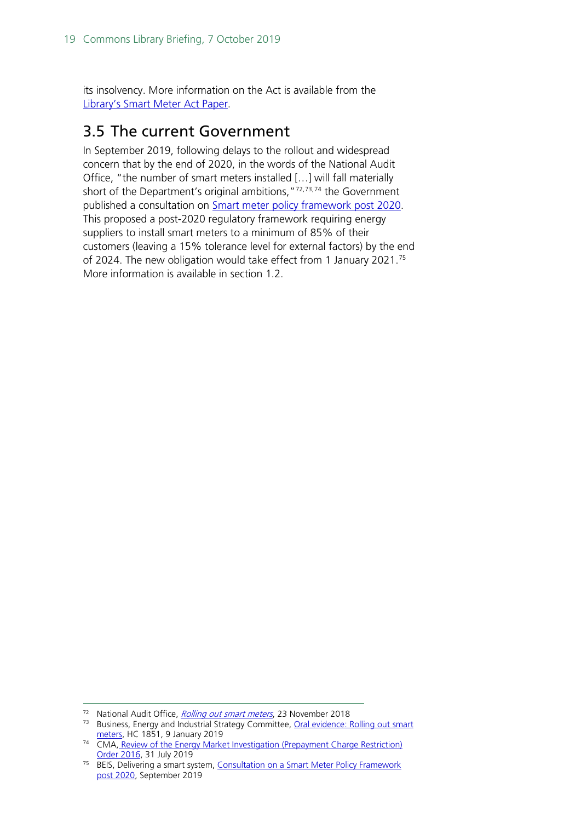its insolvency. More information on the Act is available from the [Library's Smart Meter](http://researchbriefings.parliament.uk/ResearchBriefing/Summary/CBP-8120) Act Paper.

### <span id="page-18-0"></span>3.5 The current Government

In September 2019, following delays to the rollout and widespread concern that by the end of 2020, in the words of the National Audit Office, "the number of smart meters installed […] will fall materially short of the Department's original ambitions,"<sup>[72](#page-18-1),[73,](#page-18-2)[74](#page-18-3)</sup> the Government published a consultation on [Smart meter policy framework post 2020.](https://www.gov.uk/government/consultations/smart-meter-policy-framework-post-2020) This proposed a post-2020 regulatory framework requiring energy suppliers to install smart meters to a minimum of 85% of their customers (leaving a 15% tolerance level for external factors) by the end of 2024. The new obligation would take effect from 1 January 2021.[75](#page-18-4) More information is available in section 1.2.

<span id="page-18-1"></span><sup>72</sup> National Audit Office, [Rolling out smart meters](https://www.nao.org.uk/wp-content/uploads/2018/11/Rolling-out-smart-meters.pdf), 23 November 2018

<span id="page-18-2"></span><sup>&</sup>lt;sup>73</sup> Business, Energy and Industrial Strategy Committee, Oral evidence: Rolling out smart [meters,](http://data.parliament.uk/writtenevidence/committeeevidence.svc/evidencedocument/business-energy-and-industrial-strategy-committee/rolling-out-smart-meters/oral/94877.pdf) HC 1851, 9 January 2019

<span id="page-18-3"></span><sup>&</sup>lt;sup>74</sup> CMA, Review of the Energy Market Investigation (Prepayment Charge Restriction)<br>Order 2016, 31 July 2019

<span id="page-18-4"></span><sup>&</sup>lt;sup>75</sup> BEIS, Delivering a smart system, Consultation on a Smart Meter Policy Framework [post 2020,](https://assets.publishing.service.gov.uk/government/uploads/system/uploads/attachment_data/file/831734/smart-meter-policy-framework-post-2020-consultation.pdf) September 2019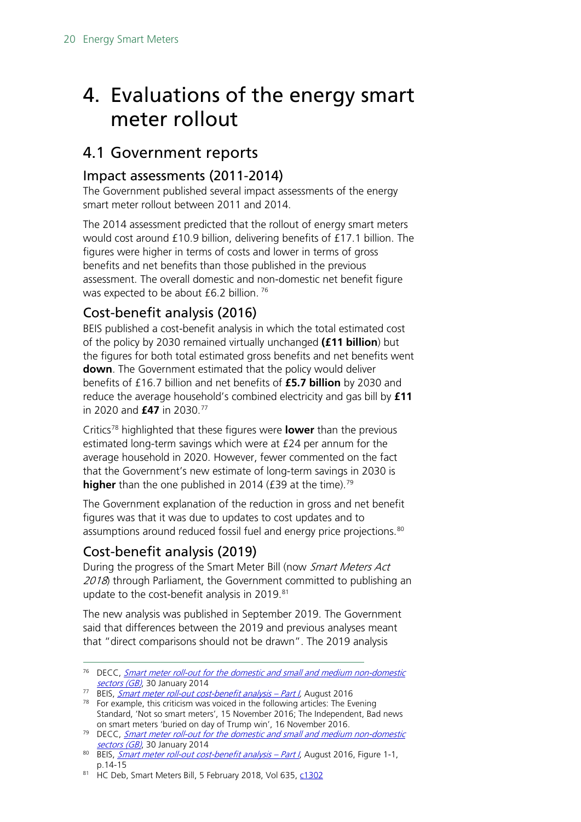## <span id="page-19-0"></span>4. Evaluations of the energy smart meter rollout

### <span id="page-19-1"></span>4.1 Government reports

### <span id="page-19-2"></span>Impact assessments (2011-2014)

The Government published several impact assessments of the energy smart meter rollout between 2011 and 2014.

The 2014 assessment predicted that the rollout of energy smart meters would cost around £10.9 billion, delivering benefits of £17.1 billion. The figures were higher in terms of costs and lower in terms of gross benefits and net benefits than those published in the previous assessment. The overall domestic and non-domestic net benefit figure was expected to be about £6.2 billion.<sup>[76](#page-19-5)</sup>

### <span id="page-19-3"></span>Cost-benefit analysis (2016)

BEIS published a cost-benefit analysis in which the total estimated cost of the policy by 2030 remained virtually unchanged **(£11 billion**) but the figures for both total estimated gross benefits and net benefits went **down**. The Government estimated that the policy would deliver benefits of £16.7 billion and net benefits of **£5.7 billion** by 2030 and reduce the average household's combined electricity and gas bill by **£11** in 2020 and **£47** in 2030. [77](#page-19-6)

Critics[78](#page-19-7) highlighted that these figures were **lower** than the previous estimated long-term savings which were at £24 per annum for the average household in 2020. However, fewer commented on the fact that the Government's new estimate of long-term savings in 2030 is **higher** than the one published in 2014 (£39 at the time).<sup>[79](#page-19-8)</sup>

The Government explanation of the reduction in gross and net benefit figures was that it was due to updates to cost updates and to assumptions around reduced fossil fuel and energy price projections.<sup>[80](#page-19-9)</sup>

### <span id="page-19-4"></span>Cost-benefit analysis (2019)

During the progress of the Smart Meter Bill (now Smart Meters Act 2018) through Parliament, the Government committed to publishing an update to the cost-benefit analysis in 2019.<sup>[81](#page-19-10)</sup>

The new analysis was published in September 2019. The Government said that differences between the 2019 and previous analyses meant that "direct comparisons should not be drawn". The 2019 analysis

<span id="page-19-5"></span><sup>&</sup>lt;sup>76</sup> DECC, **Smart meter roll-out for the domestic and small and medium non-domestic** [sectors \(GB\)](https://www.gov.uk/government/uploads/system/uploads/attachment_data/file/276656/smart_meter_roll_out_for_the_domestic_and_small_and_medium_and_non_domestic_sectors.pdf), 30 January 2014

<span id="page-19-7"></span><span id="page-19-6"></span><sup>&</sup>lt;sup>77</sup> BEIS, *[Smart meter roll-out cost-benefit analysis –](https://www.gov.uk/government/uploads/system/uploads/attachment_data/file/567167/OFFSEN_2016_smart_meters_cost-benefit-update_Part_I_FINAL_VERSION.PDF) Part I,* August 2016

 $78$  For example, this criticism was voiced in the following articles: The Evening Standard, 'Not so smart meters', 15 November 2016; The Independent, Bad news on smart meters 'buried on day of Trump win', 16 November 2016.

<span id="page-19-8"></span><sup>&</sup>lt;sup>79</sup> DECC, *Smart meter roll-out for the domestic and small and medium non-domestic* [sectors \(GB\)](https://www.gov.uk/government/uploads/system/uploads/attachment_data/file/276656/smart_meter_roll_out_for_the_domestic_and_small_and_medium_and_non_domestic_sectors.pdf), 30 January 2014

<span id="page-19-9"></span><sup>80</sup> BEIS, [Smart meter roll-out cost-benefit analysis –](https://www.gov.uk/government/uploads/system/uploads/attachment_data/file/567167/OFFSEN_2016_smart_meters_cost-benefit-update_Part_I_FINAL_VERSION.PDF) Part I, August 2016, Figure 1-1, p.14-15

<span id="page-19-10"></span><sup>81</sup> HC Deb, Smart Meters Bill, 5 February 2018, Vol 635[, c1302](http://bit.ly/2RfNLhF)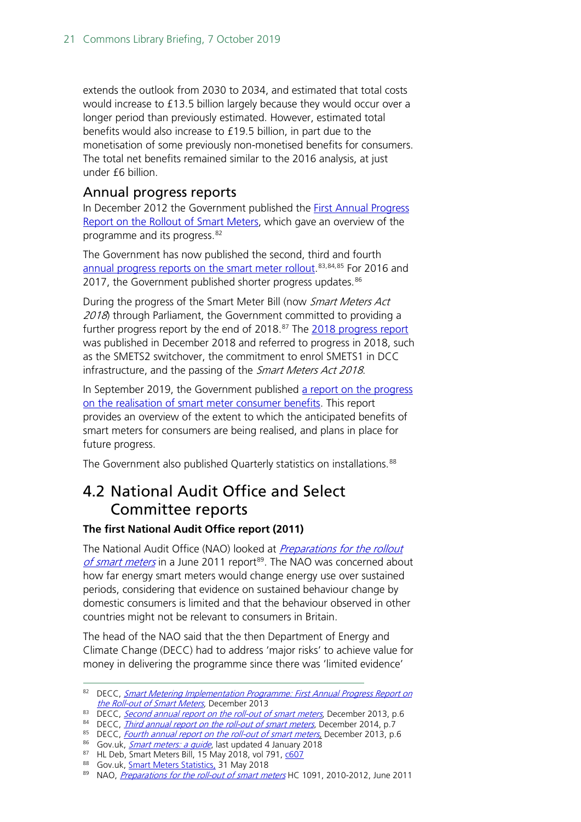extends the outlook from 2030 to 2034, and estimated that total costs would increase to £13.5 billion largely because they would occur over a longer period than previously estimated. However, estimated total benefits would also increase to £19.5 billion, in part due to the monetisation of some previously non-monetised benefits for consumers. The total net benefits remained similar to the 2016 analysis, at just under £6 billion.

#### <span id="page-20-0"></span>Annual progress reports

In December 2012 the Government published the **First Annual Progress** [Report on the Rollout](https://www.gov.uk/government/publications/smart-metering-implementation-programme-first-annual-progress-report-on-the-roll-out-of-smart-meters) of Smart Meters, which gave an overview of the programme and its progress. [82](#page-20-2)

The Government has now published the second, third and fourth [annual progress reports on the smart meter rollout.](https://www.gov.uk/government/collections/annual-progress-report-on-the-roll-out-of-smart-meters)<sup>[83,](#page-20-3)[84](#page-20-4),[85](#page-20-5)</sup> For 2016 and 2017, the Government published shorter progress updates.<sup>[86](#page-20-6)</sup>

During the progress of the Smart Meter Bill (now Smart Meters Act 2018) through Parliament, the Government committed to providing a further progress report by the end of 2018.<sup>[87](#page-20-7)</sup> The <u>2018 progress report</u> was published in December 2018 and referred to progress in 2018, such as the SMETS2 switchover, the commitment to enrol SMETS1 in DCC infrastructure, and the passing of the Smart Meters Act 2018.

In September 2019, the Government published a report on the progress [on the realisation of smart meter consumer benefits.](https://assets.publishing.service.gov.uk/government/uploads/system/uploads/attachment_data/file/830668/smart-meters-benefits-realisation.pdf) This report provides an overview of the extent to which the anticipated benefits of smart meters for consumers are being realised, and plans in place for future progress.

The Government also published Quarterly statistics on installations.<sup>[88](#page-20-8)</sup>

### <span id="page-20-1"></span>4.2 National Audit Office and Select Committee reports

#### **The first National Audit Office report (2011)**

The National Audit Office (NAO) looked at *Preparations for the rollout* [of smart meters](http://www.nao.org.uk/publications/1012/smart_meters.aspx) in a June 2011 report<sup>89</sup>. The NAO was concerned about how far energy smart meters would change energy use over sustained periods, considering that evidence on sustained behaviour change by domestic consumers is limited and that the behaviour observed in other countries might not be relevant to consumers in Britain.

The head of the NAO said that the then Department of Energy and Climate Change (DECC) had to address 'major risks' to achieve value for money in delivering the programme since there was 'limited evidence'

<span id="page-20-2"></span><sup>82</sup> DECC, Smart Metering Implementation Programme: First Annual Progress Report on [the Roll-out of Smart Meters](https://www.gov.uk/government/uploads/system/uploads/attachment_data/file/68973/7348-first-ann-prog-rpt-rollout-smart-meters.pdfhttps:/www.gov.uk/government/uploads/system/uploads/attachment_data/file/68973/7348-first-ann-prog-rpt-rollout-smart-meters.pdf), December 2013

<span id="page-20-3"></span><sup>83</sup> DECC, [Second annual report on the roll-out of smart meters](https://www.gov.uk/government/uploads/system/uploads/attachment_data/file/266685/second_annual_report_smart_meters.pdf), December 2013, p.6

<span id="page-20-4"></span><sup>&</sup>lt;sup>84</sup> DECC, *[Third annual report on the roll-out of smart meters](https://www.gov.uk/government/uploads/system/uploads/attachment_data/file/384190/smip_smart_metering_annual_report_2014.pdf)*, December 2014, p.7

<sup>&</sup>lt;sup>85</sup> DECC, *Fourth annual report on the roll-out of smart meters*, December 2013, p.6

<span id="page-20-6"></span><span id="page-20-5"></span><sup>86</sup> Gov.uk, *[Smart meters: a guide](https://www.gov.uk/guidance/smart-meters-how-they-work#history)*, last updated 4 January 2018

<span id="page-20-7"></span><sup>87</sup> HL Deb, Smart Meters Bill, 15 May 2018, vol 791, [c607](http://bit.ly/2Pkbj7W)

<span id="page-20-8"></span><sup>88</sup> Gov.uk, [Smart Meters Statistics,](https://www.gov.uk/government/collections/smart-meters-statistics) 31 May 2018

<span id="page-20-9"></span><sup>89</sup> NAO, Preparations for [the roll-out of smart meters](http://www.nao.org.uk/publications/1012/smart_meters.aspx) HC 1091, 2010-2012, June 2011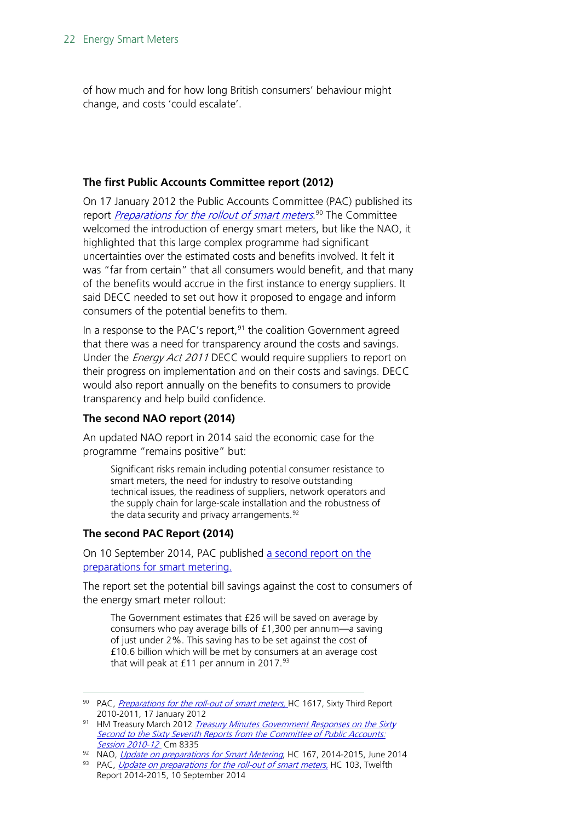of how much and for how long British consumers' behaviour might change, and costs 'could escalate'.

#### **The first Public Accounts Committee report (2012)**

On 17 January 2012 the Public Accounts Committee (PAC) published its report *<u>[Preparations for the rollout of smart meters](http://www.publications.parliament.uk/pa/cm201012/cmselect/cmpubacc/1617/161702.htm).<sup>[90](#page-21-0)</sup> The Committee*</u> welcomed the introduction of energy smart meters, but like the NAO, it highlighted that this large complex programme had significant uncertainties over the estimated costs and benefits involved. It felt it was "far from certain" that all consumers would benefit, and that many of the benefits would accrue in the first instance to energy suppliers. It said DECC needed to set out how it proposed to engage and inform consumers of the potential benefits to them.

In a response to the PAC's report, $91$  the coalition Government agreed that there was a need for transparency around the costs and savings. Under the *Energy Act 2011* DECC would require suppliers to report on their progress on implementation and on their costs and savings. DECC would also report annually on the benefits to consumers to provide transparency and help build confidence.

#### **The second NAO report (2014)**

An updated NAO report in 2014 said the economic case for the programme "remains positive" but:

Significant risks remain including potential consumer resistance to smart meters, the need for industry to resolve outstanding technical issues, the readiness of suppliers, network operators and the supply chain for large-scale installation and the robustness of the data security and privacy arrangements.<sup>[92](#page-21-2)</sup>

#### **The second PAC Report (2014)**

On 10 September 2014, PAC published a second report on the [preparations for smart metering.](http://www.parliament.uk/business/committees/committees-a-z/commons-select/public-accounts-committee/news/report-smart-meters/)

The report set the potential bill savings against the cost to consumers of the energy smart meter rollout:

The Government estimates that £26 will be saved on average by consumers who pay average bills of £1,300 per annum—a saving of just under 2%. This saving has to be set against the cost of £10.6 billion which will be met by consumers at an average cost that will peak at  $£11$  per annum in 2017.<sup>[93](#page-21-3)</sup>

<span id="page-21-0"></span><sup>90</sup> PAC, [Preparations for the roll-out of smart meters,](http://www.publications.parliament.uk/pa/cm201012/cmselect/cmpubacc/1617/161702.htm) HC 1617, Sixty Third Report 2010-2011, 17 January 2012

<span id="page-21-1"></span><sup>91</sup> HM Treasury March 2012 Treasury Minutes Government Responses on the Sixty [Second to the Sixty Seventh Reports from the Committee of Public Accounts:](http://www.hm-treasury.gov.uk/d/hmt_minutes_62_67_reports_cpas_mar2012.pdf) [Session 2010-12](http://www.hm-treasury.gov.uk/d/hmt_minutes_62_67_reports_cpas_mar2012.pdf) Cm 8335

<span id="page-21-2"></span><sup>92</sup> NAO, *[Update on preparations for Smart Metering](https://www.nao.org.uk/wp-content/uploads/2014/06/Update-on-preparations-for-smart-metering.pdf)*, HC 167, 2014-2015, June 2014

<span id="page-21-3"></span><sup>93</sup> PAC, [Update on preparations for the roll-out of smart meters,](http://www.publications.parliament.uk/pa/cm201415/cmselect/cmpubacc/103/10302.htm) HC 103, Twelfth Report 2014-2015, 10 September 2014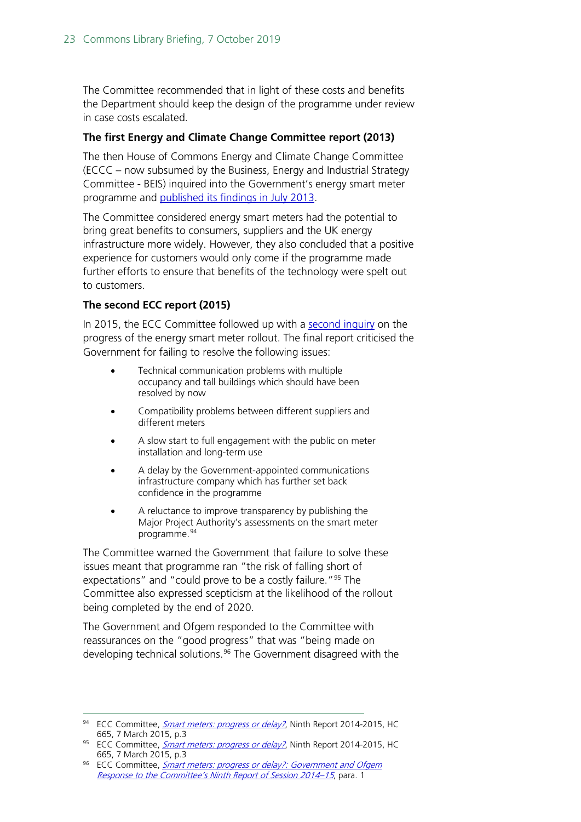The Committee recommended that in light of these costs and benefits the Department should keep the design of the programme under review in case costs escalated.

#### **The first Energy and Climate Change Committee report (2013)**

The then House of Commons Energy and Climate Change Committee (ECCC – now subsumed by the Business, Energy and Industrial Strategy Committee - BEIS) inquired into the Government's energy smart meter programme and [published its findings in July 2013.](http://www.parliament.uk/business/committees/committees-a-z/commons-select/energy-and-climate-change-committee/news/smart-meters-publication/)

The Committee considered energy smart meters had the potential to bring great benefits to consumers, suppliers and the UK energy infrastructure more widely. However, they also concluded that a positive experience for customers would only come if the programme made further efforts to ensure that benefits of the technology were spelt out to customers.

#### **The second ECC report (2015)**

In 2015, the ECC Committee followed up with a [second inquiry](http://www.parliament.uk/business/committees/committees-a-z/commons-select/energy-and-climate-change-committee/inquiries/parliament-2010/progress-on-smart-meter-roll-out-inquiry/publications/) on the progress of the energy smart meter rollout. The final report criticised the Government for failing to resolve the following issues:

- Technical communication problems with multiple occupancy and tall buildings which should have been resolved by now
- Compatibility problems between different suppliers and different meters
- A slow start to full engagement with the public on meter installation and long-term use
- A delay by the Government-appointed communications infrastructure company which has further set back confidence in the programme
- A reluctance to improve transparency by publishing the Major Project Authority's assessments on the smart meter programme. [94](#page-22-0)

The Committee warned the Government that failure to solve these issues meant that programme ran "the risk of falling short of expectations" and "could prove to be a costly failure."<sup>[95](#page-22-1)</sup> The Committee also expressed scepticism at the likelihood of the rollout being completed by the end of 2020.

The Government and Ofgem responded to the Committee with reassurances on the "good progress" that was "being made on developing technical solutions.<sup>[96](#page-22-2)</sup> The Government disagreed with the

<span id="page-22-0"></span><sup>94</sup> ECC Committee, [Smart meters: progress or delay?](https://www.publications.parliament.uk/pa/cm201415/cmselect/cmenergy/665/665.pdf), Ninth Report 2014-2015, HC 665, 7 March 2015, p.3

<span id="page-22-1"></span><sup>95</sup> ECC Committee, *[Smart meters: progress or delay?](https://www.publications.parliament.uk/pa/cm201415/cmselect/cmenergy/665/665.pdf)*, Ninth Report 2014-2015, HC 665, 7 March 2015, p.3

<span id="page-22-2"></span><sup>96</sup> ECC Committee, Smart meters: progress or delay?: Government and Ofgem [Response to the Committee's Ninth Report of Session 2014–15](https://www.publications.parliament.uk/pa/cm201415/cmselect/cmenergy/1146/1146.pdf), para. 1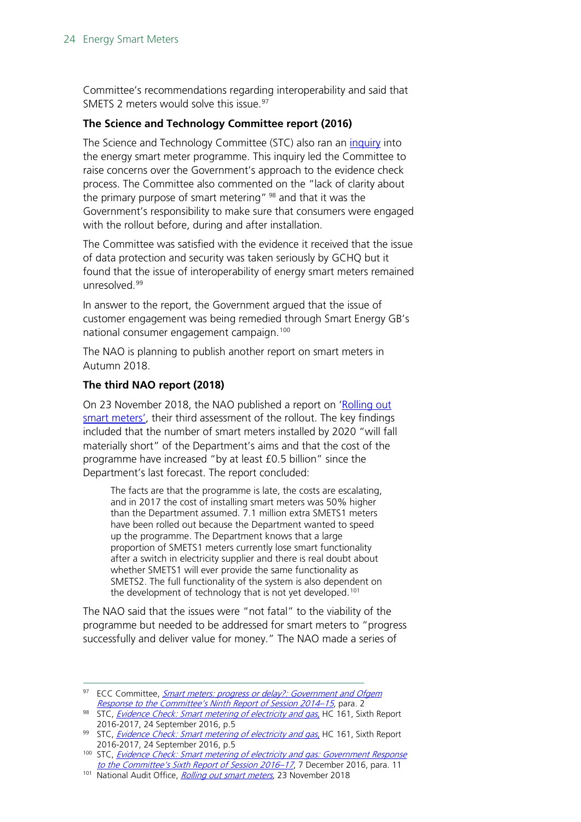Committee's recommendations regarding interoperability and said that SMETS 2 meters would solve this issue.<sup>[97](#page-23-0)</sup>

#### **The Science and Technology Committee report (2016)**

The Science and Technology Committee (STC) also ran an [inquiry](http://www.parliament.uk/business/committees/committees-a-z/commons-select/science-and-technology-committee/inquiries/parliament-2015/smart-meters-inquiry-15-16/) into the energy smart meter programme. This inquiry led the Committee to raise concerns over the Government's approach to the evidence check process. The Committee also commented on the "lack of clarity about the primary purpose of smart metering"  $98$  and that it was the Government's responsibility to make sure that consumers were engaged with the rollout before, during and after installation.

The Committee was satisfied with the evidence it received that the issue of data protection and security was taken seriously by GCHQ but it found that the issue of interoperability of energy smart meters remained unresolved.<sup>[99](#page-23-2)</sup>

In answer to the report, the Government argued that the issue of customer engagement was being remedied through Smart Energy GB's national consumer engagement campaign.<sup>[100](#page-23-3)</sup>

The NAO is planning to publish another report on smart meters in Autumn 2018.

#### **The third NAO report (2018)**

On 23 November 2018, the NAO published a report on 'Rolling out smart meters', their third assessment of the rollout. The key findings included that the number of smart meters installed by 2020 "will fall materially short" of the Department's aims and that the cost of the programme have increased "by at least £0.5 billion" since the Department's last forecast. The report concluded:

The facts are that the programme is late, the costs are escalating, and in 2017 the cost of installing smart meters was 50% higher than the Department assumed. 7.1 million extra SMETS1 meters have been rolled out because the Department wanted to speed up the programme. The Department knows that a large proportion of SMETS1 meters currently lose smart functionality after a switch in electricity supplier and there is real doubt about whether SMETS1 will ever provide the same functionality as SMETS2. The full functionality of the system is also dependent on the development of technology that is not yet developed.<sup>[101](#page-23-4)</sup>

The NAO said that the issues were "not fatal" to the viability of the programme but needed to be addressed for smart meters to "progress successfully and deliver value for money." The NAO made a series of

<span id="page-23-0"></span><sup>&</sup>lt;sup>97</sup> ECC Committee, *Smart meters: progress or delay?: Government and Ofgem* [Response to the Committee's Ninth Report of Session 2014–15](https://www.publications.parliament.uk/pa/cm201415/cmselect/cmenergy/1146/1146.pdf), para. 2

<span id="page-23-1"></span><sup>98</sup> STC, *[Evidence Check: Smart metering of electricity and gas](https://www.publications.parliament.uk/pa/cm201617/cmselect/cmsctech/161/161.pdf)*, HC 161, Sixth Report 2016-2017, 24 September 2016, p.5

<span id="page-23-2"></span><sup>99</sup> STC, *[Evidence Check: Smart metering of electricity and gas](https://www.publications.parliament.uk/pa/cm201617/cmselect/cmsctech/161/161.pdf)*, HC 161, Sixth Report 2016-2017, 24 September 2016, p.5

<span id="page-23-3"></span><sup>100</sup> STC, Evidence Check: Smart metering of electricity and gas: Government Response [to the Committee's Sixth Report of Session 2016–17](https://www.publications.parliament.uk/pa/cm201617/cmselect/cmsctech/846/846.pdf), 7 December 2016, para. 11

<span id="page-23-4"></span><sup>101</sup> National Audit Office, [Rolling out smart meters](https://www.nao.org.uk/wp-content/uploads/2018/11/Rolling-out-smart-meters.pdf), 23 November 2018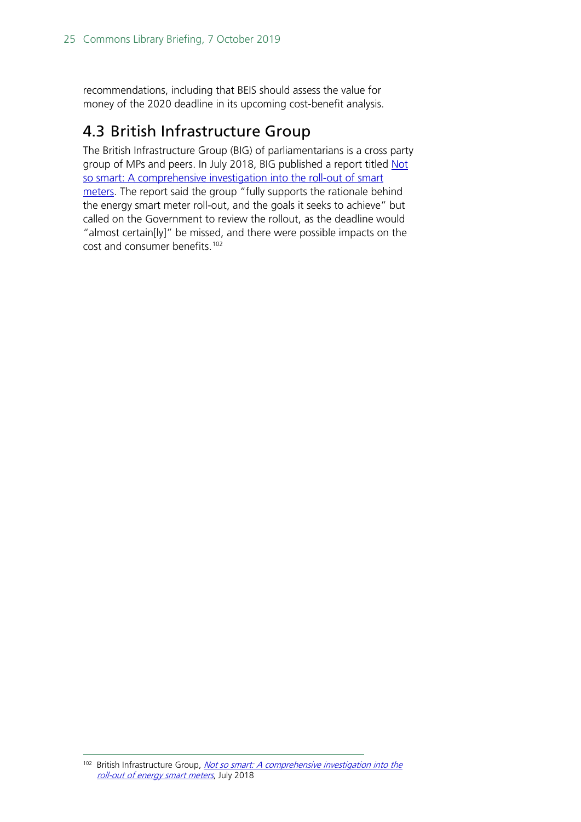recommendations, including that BEIS should assess the value for money of the 2020 deadline in its upcoming cost-benefit analysis.

### <span id="page-24-0"></span>4.3 British Infrastructure Group

The British Infrastructure Group (BIG) of parliamentarians is a cross party group of MPs and peers. In July 2018, BIG published a report titled Not [so smart: A comprehensive investigation into the roll-out of smart](http://www.britishinfrastructuregroup.uk/wp-content/uploads/2018/07/BIG-Not-So-Smart-Full-Report-Updated.pdf)  [meters.](http://www.britishinfrastructuregroup.uk/wp-content/uploads/2018/07/BIG-Not-So-Smart-Full-Report-Updated.pdf) The report said the group "fully supports the rationale behind the energy smart meter roll-out, and the goals it seeks to achieve" but called on the Government to review the rollout, as the deadline would "almost certain[ly]" be missed, and there were possible impacts on the cost and consumer benefits.<sup>[102](#page-24-1)</sup>

<span id="page-24-1"></span> $102$  British Infrastructure Group, Not so smart: A comprehensive investigation into the [roll-out of energy smart meters](http://www.britishinfrastructuregroup.uk/wp-content/uploads/2018/07/BIG-Not-So-Smart-Full-Report-Updated.pdf), July 2018